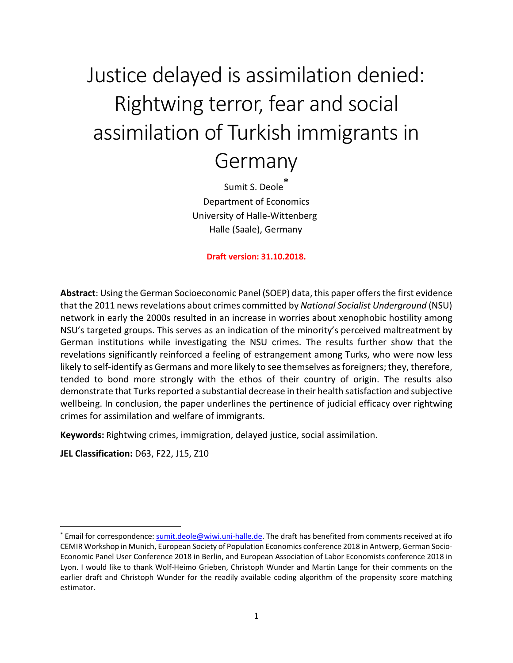# Justice delayed is assimilation denied: Rightwing terror, fear and social assimilation of Turkish immigrants in Germany

Sumit S. Deole **[\\*](#page-0-0)** Department of Economics University of Halle-Wittenberg Halle (Saale), Germany

**Draft version: 31.10.2018.**

**Abstract**: Using the German Socioeconomic Panel (SOEP) data, this paper offers the first evidence that the 2011 news revelations about crimes committed by *National Socialist Underground* (NSU) network in early the 2000s resulted in an increase in worries about xenophobic hostility among NSU's targeted groups. This serves as an indication of the minority's perceived maltreatment by German institutions while investigating the NSU crimes. The results further show that the revelations significantly reinforced a feeling of estrangement among Turks, who were now less likely to self-identify as Germans and more likely to see themselves as foreigners; they, therefore, tended to bond more strongly with the ethos of their country of origin. The results also demonstrate that Turks reported a substantial decrease in their health satisfaction and subjective wellbeing. In conclusion, the paper underlines the pertinence of judicial efficacy over rightwing crimes for assimilation and welfare of immigrants.

**Keywords:** Rightwing crimes, immigration, delayed justice, social assimilation.

**JEL Classification:** D63, F22, J15, Z10

<span id="page-0-0"></span> <sup>\*</sup> Email for correspondence[: sumit.deole@wiwi.uni-halle.de.](mailto:sumit.deole@wiwi.uni-halle.de) The draft has benefited from comments received at ifo CEMIR Workshop in Munich, European Society of Population Economics conference 2018 in Antwerp, German Socio-Economic Panel User Conference 2018 in Berlin, and European Association of Labor Economists conference 2018 in Lyon. I would like to thank Wolf-Heimo Grieben, Christoph Wunder and Martin Lange for their comments on the earlier draft and Christoph Wunder for the readily available coding algorithm of the propensity score matching estimator.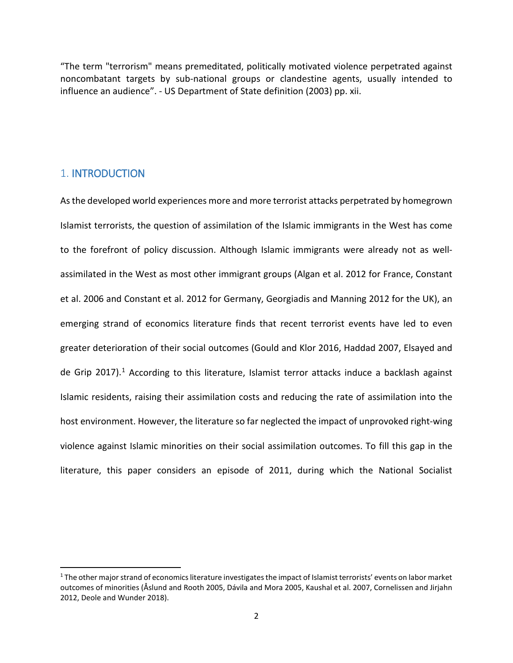"The term "terrorism" means premeditated, politically motivated violence perpetrated against noncombatant targets by sub-national groups or clandestine agents, usually intended to influence an audience". - US Department of State definition (2003) pp. xii.

## 1. INTRODUCTION

As the developed world experiences more and more terrorist attacks perpetrated by homegrown Islamist terrorists, the question of assimilation of the Islamic immigrants in the West has come to the forefront of policy discussion. Although Islamic immigrants were already not as wellassimilated in the West as most other immigrant groups (Algan et al. 2012 for France, Constant et al. 2006 and Constant et al. 2012 for Germany, Georgiadis and Manning 2012 for the UK), an emerging strand of economics literature finds that recent terrorist events have led to even greater deterioration of their social outcomes (Gould and Klor 2016, Haddad 2007, Elsayed and de Grip 20[1](#page-1-0)7).<sup>1</sup> According to this literature, Islamist terror attacks induce a backlash against Islamic residents, raising their assimilation costs and reducing the rate of assimilation into the host environment. However, the literature so far neglected the impact of unprovoked right-wing violence against Islamic minorities on their social assimilation outcomes. To fill this gap in the literature, this paper considers an episode of 2011, during which the National Socialist

<span id="page-1-0"></span> $1$  The other major strand of economics literature investigates the impact of Islamist terrorists' events on labor market outcomes of minorities (Åslund and Rooth 2005, Dávila and Mora 2005, Kaushal et al. 2007, Cornelissen and Jirjahn 2012, Deole and Wunder 2018).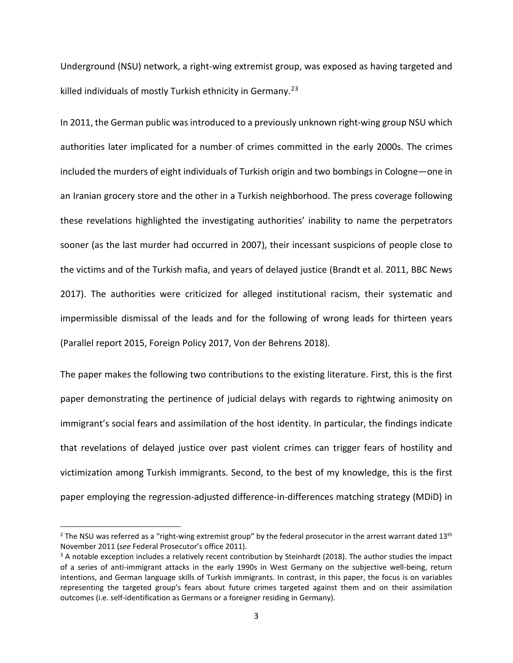Underground (NSU) network, a right-wing extremist group, was exposed as having targeted and killed individuals of mostly Turkish ethnicity in Germany.<sup>[2](#page-2-0)[3](#page-2-1)</sup>

In 2011, the German public was introduced to a previously unknown right-wing group NSU which authorities later implicated for a number of crimes committed in the early 2000s. The crimes included the murders of eight individuals of Turkish origin and two bombings in Cologne—one in an Iranian grocery store and the other in a Turkish neighborhood. The press coverage following these revelations highlighted the investigating authorities' inability to name the perpetrators sooner (as the last murder had occurred in 2007), their incessant suspicions of people close to the victims and of the Turkish mafia, and years of delayed justice (Brandt et al. 2011, BBC News 2017). The authorities were criticized for alleged institutional racism, their systematic and impermissible dismissal of the leads and for the following of wrong leads for thirteen years (Parallel report 2015, Foreign Policy 2017, Von der Behrens 2018).

The paper makes the following two contributions to the existing literature. First, this is the first paper demonstrating the pertinence of judicial delays with regards to rightwing animosity on immigrant's social fears and assimilation of the host identity. In particular, the findings indicate that revelations of delayed justice over past violent crimes can trigger fears of hostility and victimization among Turkish immigrants. Second, to the best of my knowledge, this is the first paper employing the regression-adjusted difference-in-differences matching strategy (MDiD) in

<span id="page-2-0"></span><sup>&</sup>lt;sup>2</sup> The NSU was referred as a "right-wing extremist group" by the federal prosecutor in the arrest warrant dated  $13<sup>th</sup>$ November 2011 (*see* Federal Prosecutor's office 2011).

<span id="page-2-1"></span><sup>&</sup>lt;sup>3</sup> A notable exception includes a relatively recent contribution by Steinhardt (2018). The author studies the impact of a series of anti-immigrant attacks in the early 1990s in West Germany on the subjective well-being, return intentions, and German language skills of Turkish immigrants. In contrast, in this paper, the focus is on variables representing the targeted group's fears about future crimes targeted against them and on their assimilation outcomes (i.e. self-identification as Germans or a foreigner residing in Germany).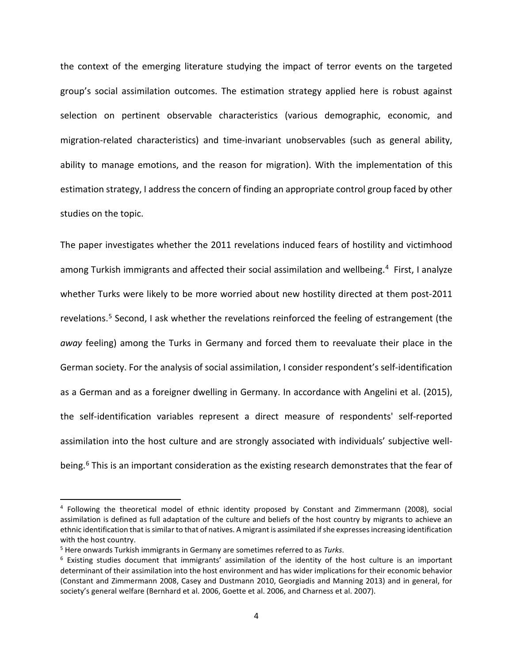the context of the emerging literature studying the impact of terror events on the targeted group's social assimilation outcomes. The estimation strategy applied here is robust against selection on pertinent observable characteristics (various demographic, economic, and migration-related characteristics) and time-invariant unobservables (such as general ability, ability to manage emotions, and the reason for migration). With the implementation of this estimation strategy, I address the concern of finding an appropriate control group faced by other studies on the topic.

The paper investigates whether the 2011 revelations induced fears of hostility and victimhood among Turkish immigrants and affected their social assimilation and wellbeing.<sup>[4](#page-3-0)</sup> First, I analyze whether Turks were likely to be more worried about new hostility directed at them post-2011 revelations.[5](#page-3-1) Second, I ask whether the revelations reinforced the feeling of estrangement (the *away* feeling) among the Turks in Germany and forced them to reevaluate their place in the German society. For the analysis of social assimilation, I consider respondent's self-identification as a German and as a foreigner dwelling in Germany. In accordance with Angelini et al. (2015), the self-identification variables represent a direct measure of respondents' self-reported assimilation into the host culture and are strongly associated with individuals' subjective wellbeing. [6](#page-3-2) This is an important consideration as the existing research demonstrates that the fear of

<span id="page-3-0"></span> <sup>4</sup> Following the theoretical model of ethnic identity proposed by Constant and Zimmermann (2008), social assimilation is defined as full adaptation of the culture and beliefs of the host country by migrants to achieve an ethnic identification that is similar to that of natives. A migrant is assimilated if she expresses increasing identification with the host country.

<span id="page-3-2"></span><span id="page-3-1"></span><sup>&</sup>lt;sup>5</sup> Here onwards Turkish immigrants in Germany are sometimes referred to as *Turks*.<br><sup>6</sup> Existing studies document that immigrants' assimilation of the identity of the host culture is an important determinant of their assimilation into the host environment and has wider implications for their economic behavior (Constant and Zimmermann 2008, Casey and Dustmann 2010, Georgiadis and Manning 2013) and in general, for society's general welfare (Bernhard et al. 2006, Goette et al. 2006, and Charness et al. 2007).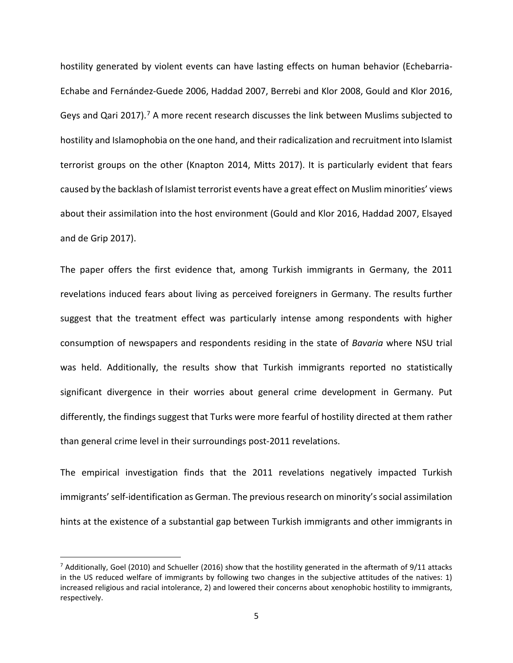hostility generated by violent events can have lasting effects on human behavior (Echebarria-Echabe and Fernández-Guede 2006, Haddad 2007, Berrebi and Klor 2008, Gould and Klor 2016, Geys and Qari 201[7](#page-4-0)).<sup>7</sup> A more recent research discusses the link between Muslims subjected to hostility and Islamophobia on the one hand, and their radicalization and recruitment into Islamist terrorist groups on the other (Knapton 2014, Mitts 2017). It is particularly evident that fears caused by the backlash of Islamist terrorist events have a great effect on Muslim minorities' views about their assimilation into the host environment (Gould and Klor 2016, Haddad 2007, Elsayed and de Grip 2017).

The paper offers the first evidence that, among Turkish immigrants in Germany, the 2011 revelations induced fears about living as perceived foreigners in Germany. The results further suggest that the treatment effect was particularly intense among respondents with higher consumption of newspapers and respondents residing in the state of *Bavaria* where NSU trial was held. Additionally, the results show that Turkish immigrants reported no statistically significant divergence in their worries about general crime development in Germany. Put differently, the findings suggest that Turks were more fearful of hostility directed at them rather than general crime level in their surroundings post-2011 revelations.

The empirical investigation finds that the 2011 revelations negatively impacted Turkish immigrants' self-identification as German. The previous research on minority's social assimilation hints at the existence of a substantial gap between Turkish immigrants and other immigrants in

<span id="page-4-0"></span> $7$  Additionally, Goel (2010) and Schueller (2016) show that the hostility generated in the aftermath of 9/11 attacks in the US reduced welfare of immigrants by following two changes in the subjective attitudes of the natives: 1) increased religious and racial intolerance, 2) and lowered their concerns about xenophobic hostility to immigrants, respectively.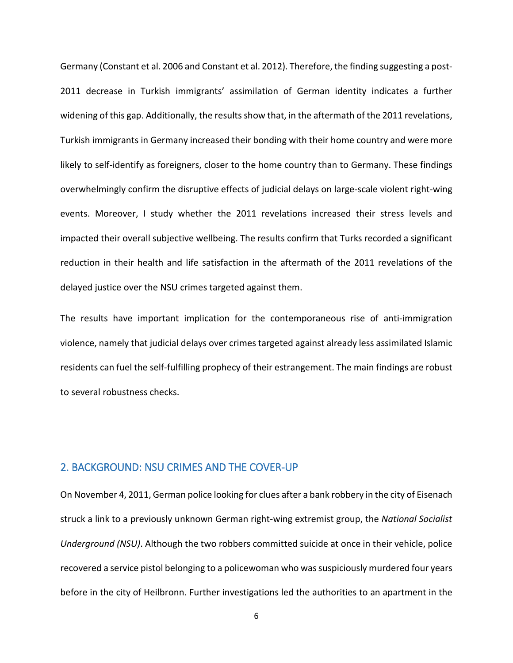Germany (Constant et al. 2006 and Constant et al. 2012). Therefore, the finding suggesting a post-2011 decrease in Turkish immigrants' assimilation of German identity indicates a further widening of this gap. Additionally, the results show that, in the aftermath of the 2011 revelations, Turkish immigrants in Germany increased their bonding with their home country and were more likely to self-identify as foreigners, closer to the home country than to Germany. These findings overwhelmingly confirm the disruptive effects of judicial delays on large-scale violent right-wing events. Moreover, I study whether the 2011 revelations increased their stress levels and impacted their overall subjective wellbeing. The results confirm that Turks recorded a significant reduction in their health and life satisfaction in the aftermath of the 2011 revelations of the delayed justice over the NSU crimes targeted against them.

The results have important implication for the contemporaneous rise of anti-immigration violence, namely that judicial delays over crimes targeted against already less assimilated Islamic residents can fuel the self-fulfilling prophecy of their estrangement. The main findings are robust to several robustness checks.

## 2. BACKGROUND: NSU CRIMES AND THE COVER-UP

On November 4, 2011, German police looking for clues after a bank robbery in the city of Eisenach struck a link to a previously unknown German right-wing extremist group, the *National Socialist Underground (NSU)*. Although the two robbers committed suicide at once in their vehicle, police recovered a service pistol belonging to a policewoman who was suspiciously murdered four years before in the city of Heilbronn. Further investigations led the authorities to an apartment in the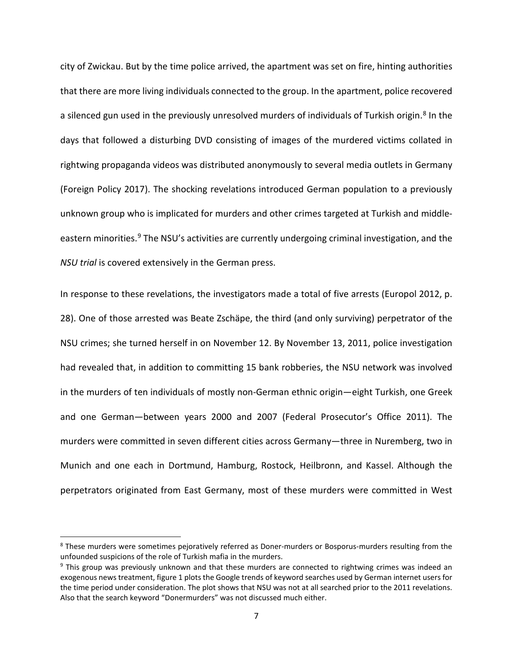city of Zwickau. But by the time police arrived, the apartment was set on fire, hinting authorities that there are more living individuals connected to the group. In the apartment, police recovered a silenced gun used in the previously unresolved murders of individuals of Turkish origin.<sup>[8](#page-6-0)</sup> In the days that followed a disturbing DVD consisting of images of the murdered victims collated in rightwing propaganda videos was distributed anonymously to several media outlets in Germany (Foreign Policy 2017). The shocking revelations introduced German population to a previously unknown group who is implicated for murders and other crimes targeted at Turkish and middle-eastern minorities.<sup>[9](#page-6-1)</sup> The NSU's activities are currently undergoing criminal investigation, and the *NSU trial* is covered extensively in the German press.

In response to these revelations, the investigators made a total of five arrests (Europol 2012, p. 28). One of those arrested was Beate Zschäpe, the third (and only surviving) perpetrator of the NSU crimes; she turned herself in on November 12. By November 13, 2011, police investigation had revealed that, in addition to committing 15 bank robberies, the NSU network was involved in the murders of ten individuals of mostly non-German ethnic origin—eight Turkish, one Greek and one German—between years 2000 and 2007 (Federal Prosecutor's Office 2011). The murders were committed in seven different cities across Germany—three in Nuremberg, two in Munich and one each in Dortmund, Hamburg, Rostock, Heilbronn, and Kassel. Although the perpetrators originated from East Germany, most of these murders were committed in West

<span id="page-6-0"></span><sup>&</sup>lt;sup>8</sup> These murders were sometimes pejoratively referred as Doner-murders or Bosporus-murders resulting from the unfounded suspicions of the role of Turkish mafia in the murders.

<span id="page-6-1"></span><sup>&</sup>lt;sup>9</sup> This group was previously unknown and that these murders are connected to rightwing crimes was indeed an exogenous news treatment, figure 1 plots the Google trends of keyword searches used by German internet users for the time period under consideration. The plot shows that NSU was not at all searched prior to the 2011 revelations. Also that the search keyword "Donermurders" was not discussed much either.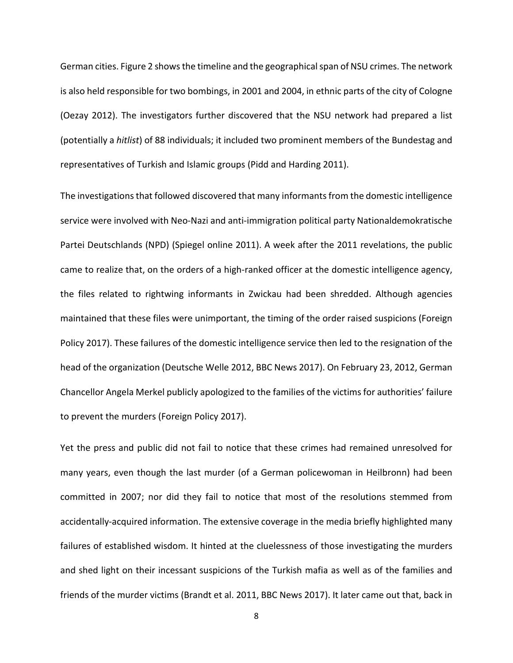German cities. Figure 2 shows the timeline and the geographical span of NSU crimes. The network is also held responsible for two bombings, in 2001 and 2004, in ethnic parts of the city of Cologne (Oezay 2012). The investigators further discovered that the NSU network had prepared a list (potentially a *hitlist*) of 88 individuals; it included two prominent members of the Bundestag and representatives of Turkish and Islamic groups (Pidd and Harding 2011).

The investigations that followed discovered that many informants from the domestic intelligence service were involved with Neo-Nazi and anti-immigration political party Nationaldemokratische Partei Deutschlands (NPD) (Spiegel online 2011). A week after the 2011 revelations, the public came to realize that, on the orders of a high-ranked officer at the domestic intelligence agency, the files related to rightwing informants in Zwickau had been shredded. Although agencies maintained that these files were unimportant, the timing of the order raised suspicions (Foreign Policy 2017). These failures of the domestic intelligence service then led to the resignation of the head of the organization (Deutsche Welle 2012, BBC News 2017). On February 23, 2012, German Chancellor Angela Merkel publicly apologized to the families of the victims for authorities' failure to prevent the murders (Foreign Policy 2017).

Yet the press and public did not fail to notice that these crimes had remained unresolved for many years, even though the last murder (of a German policewoman in Heilbronn) had been committed in 2007; nor did they fail to notice that most of the resolutions stemmed from accidentally-acquired information. The extensive coverage in the media briefly highlighted many failures of established wisdom. It hinted at the cluelessness of those investigating the murders and shed light on their incessant suspicions of the Turkish mafia as well as of the families and friends of the murder victims (Brandt et al. 2011, BBC News 2017). It later came out that, back in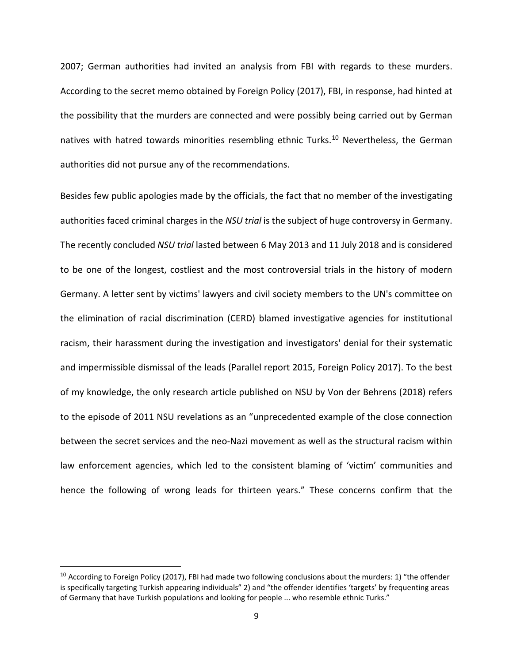2007; German authorities had invited an analysis from FBI with regards to these murders. According to the secret memo obtained by Foreign Policy (2017), FBI, in response, had hinted at the possibility that the murders are connected and were possibly being carried out by German natives with hatred towards minorities resembling ethnic Turks.<sup>[10](#page-8-0)</sup> Nevertheless, the German authorities did not pursue any of the recommendations.

Besides few public apologies made by the officials, the fact that no member of the investigating authorities faced criminal charges in the *NSU trial* is the subject of huge controversy in Germany. The recently concluded *NSU trial* lasted between 6 May 2013 and 11 July 2018 and is considered to be one of the longest, costliest and the most controversial trials in the history of modern Germany. A letter sent by victims' lawyers and civil society members to the UN's committee on the elimination of racial discrimination (CERD) blamed investigative agencies for institutional racism, their harassment during the investigation and investigators' denial for their systematic and impermissible dismissal of the leads (Parallel report 2015, Foreign Policy 2017). To the best of my knowledge, the only research article published on NSU by Von der Behrens (2018) refers to the episode of 2011 NSU revelations as an "unprecedented example of the close connection between the secret services and the neo-Nazi movement as well as the structural racism within law enforcement agencies, which led to the consistent blaming of 'victim' communities and hence the following of wrong leads for thirteen years." These concerns confirm that the

<span id="page-8-0"></span> $10$  According to Foreign Policy (2017), FBI had made two following conclusions about the murders: 1) "the offender is specifically targeting Turkish appearing individuals" 2) and "the offender identifies 'targets' by frequenting areas of Germany that have Turkish populations and looking for people ... who resemble ethnic Turks."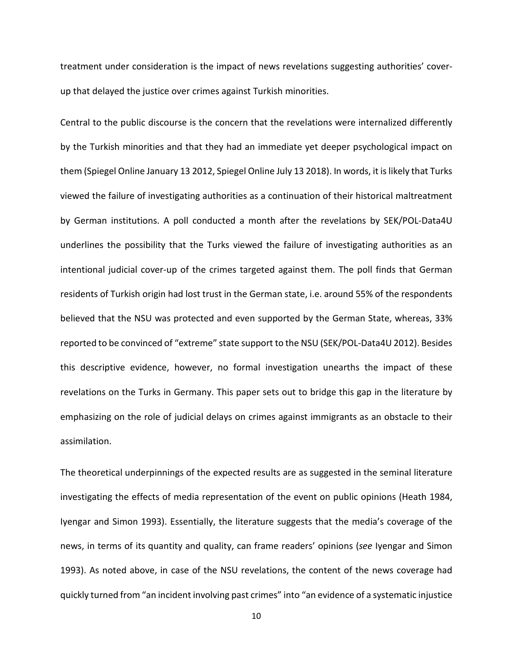treatment under consideration is the impact of news revelations suggesting authorities' coverup that delayed the justice over crimes against Turkish minorities.

Central to the public discourse is the concern that the revelations were internalized differently by the Turkish minorities and that they had an immediate yet deeper psychological impact on them (Spiegel Online January 13 2012, Spiegel Online July 13 2018). In words, it is likely that Turks viewed the failure of investigating authorities as a continuation of their historical maltreatment by German institutions. A poll conducted a month after the revelations by SEK/POL-Data4U underlines the possibility that the Turks viewed the failure of investigating authorities as an intentional judicial cover-up of the crimes targeted against them. The poll finds that German residents of Turkish origin had lost trust in the German state, i.e. around 55% of the respondents believed that the NSU was protected and even supported by the German State, whereas, 33% reported to be convinced of "extreme" state support to the NSU (SEK/POL-Data4U 2012). Besides this descriptive evidence, however, no formal investigation unearths the impact of these revelations on the Turks in Germany. This paper sets out to bridge this gap in the literature by emphasizing on the role of judicial delays on crimes against immigrants as an obstacle to their assimilation.

The theoretical underpinnings of the expected results are as suggested in the seminal literature investigating the effects of media representation of the event on public opinions (Heath 1984, Iyengar and Simon 1993). Essentially, the literature suggests that the media's coverage of the news, in terms of its quantity and quality, can frame readers' opinions (*see* Iyengar and Simon 1993). As noted above, in case of the NSU revelations, the content of the news coverage had quickly turned from "an incident involving past crimes" into "an evidence of a systematic injustice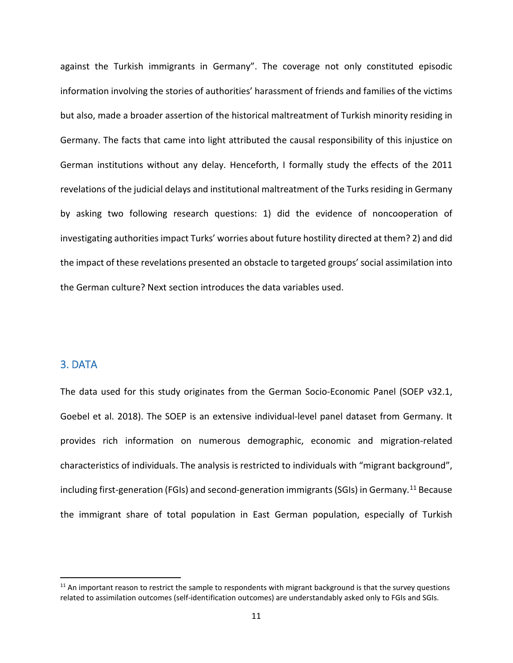against the Turkish immigrants in Germany". The coverage not only constituted episodic information involving the stories of authorities' harassment of friends and families of the victims but also, made a broader assertion of the historical maltreatment of Turkish minority residing in Germany. The facts that came into light attributed the causal responsibility of this injustice on German institutions without any delay. Henceforth, I formally study the effects of the 2011 revelations of the judicial delays and institutional maltreatment of the Turks residing in Germany by asking two following research questions: 1) did the evidence of noncooperation of investigating authorities impact Turks' worries about future hostility directed at them? 2) and did the impact of these revelations presented an obstacle to targeted groups' social assimilation into the German culture? Next section introduces the data variables used.

## 3. DATA

The data used for this study originates from the German Socio-Economic Panel (SOEP v32.1, Goebel et al. 2018). The SOEP is an extensive individual-level panel dataset from Germany. It provides rich information on numerous demographic, economic and migration-related characteristics of individuals. The analysis is restricted to individuals with "migrant background", including first-generation (FGIs) and second-generation immigrants (SGIs) in Germany.<sup>[11](#page-10-0)</sup> Because the immigrant share of total population in East German population, especially of Turkish

<span id="page-10-0"></span> $11$  An important reason to restrict the sample to respondents with migrant background is that the survey questions related to assimilation outcomes (self-identification outcomes) are understandably asked only to FGIs and SGIs.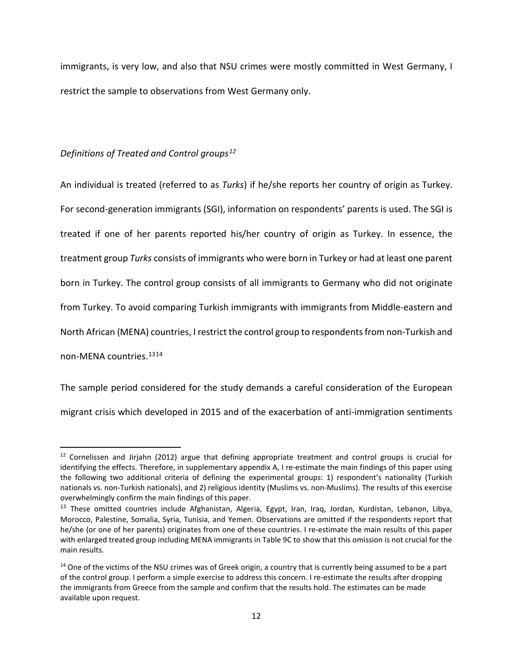immigrants, is very low, and also that NSU crimes were mostly committed in West Germany, I restrict the sample to observations from West Germany only.

## *Definitions of Treated and Control groups[12](#page-11-0)*

An individual is treated (referred to as *Turks*) if he/she reports her country of origin as Turkey. For second-generation immigrants (SGI), information on respondents' parents is used. The SGI is treated if one of her parents reported his/her country of origin as Turkey. In essence, the treatment group *Turks* consists of immigrants who were born in Turkey or had at least one parent born in Turkey. The control group consists of all immigrants to Germany who did not originate from Turkey. To avoid comparing Turkish immigrants with immigrants from Middle-eastern and North African (MENA) countries, I restrict the control group to respondents from non-Turkish and non-MENA countries.[13](#page-11-1)[14](#page-11-2)

The sample period considered for the study demands a careful consideration of the European migrant crisis which developed in 2015 and of the exacerbation of anti-immigration sentiments

<span id="page-11-0"></span> $12$  Cornelissen and Jirjahn (2012) argue that defining appropriate treatment and control groups is crucial for identifying the effects. Therefore, in supplementary appendix A, I re-estimate the main findings of this paper using the following two additional criteria of defining the experimental groups: 1) respondent's nationality (Turkish nationals vs. non-Turkish nationals), and 2) religious identity (Muslims vs. non-Muslims). The results of this exercise overwhelmingly confirm the main findings of this paper.

<span id="page-11-1"></span><sup>&</sup>lt;sup>13</sup> These omitted countries include Afghanistan, Algeria, Egypt, Iran, Iraq, Jordan, Kurdistan, Lebanon, Libya, Morocco, Palestine, Somalia, Syria, Tunisia, and Yemen. Observations are omitted if the respondents report that he/she (or one of her parents) originates from one of these countries. I re-estimate the main results of this paper with enlarged treated group including MENA immigrants in Table 9C to show that this omission is not crucial for the main results.

<span id="page-11-2"></span><sup>&</sup>lt;sup>14</sup> One of the victims of the NSU crimes was of Greek origin, a country that is currently being assumed to be a part of the control group. I perform a simple exercise to address this concern. I re-estimate the results after dropping the immigrants from Greece from the sample and confirm that the results hold. The estimates can be made available upon request.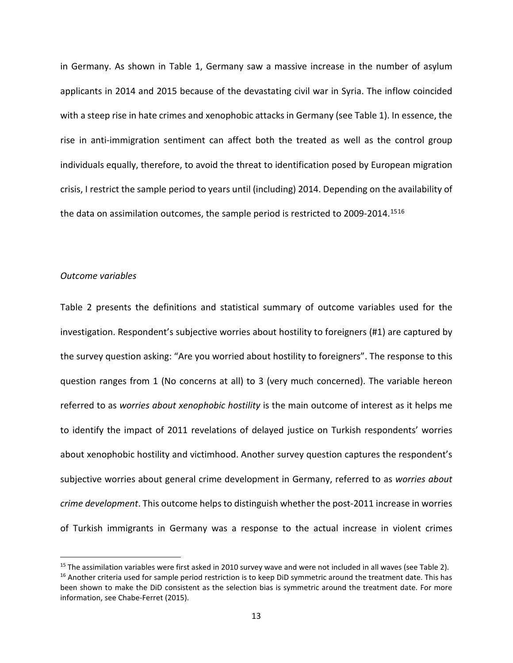in Germany. As shown in Table 1, Germany saw a massive increase in the number of asylum applicants in 2014 and 2015 because of the devastating civil war in Syria. The inflow coincided with a steep rise in hate crimes and xenophobic attacks in Germany (see Table 1). In essence, the rise in anti-immigration sentiment can affect both the treated as well as the control group individuals equally, therefore, to avoid the threat to identification posed by European migration crisis, I restrict the sample period to years until (including) 2014. Depending on the availability of the data on assimilation outcomes, the sample period is restricted to 2009-2014.<sup>[15](#page-12-0)[16](#page-12-1)</sup>

## *Outcome variables*

Table 2 presents the definitions and statistical summary of outcome variables used for the investigation. Respondent's subjective worries about hostility to foreigners (#1) are captured by the survey question asking: "Are you worried about hostility to foreigners". The response to this question ranges from 1 (No concerns at all) to 3 (very much concerned). The variable hereon referred to as *worries about xenophobic hostility* is the main outcome of interest as it helps me to identify the impact of 2011 revelations of delayed justice on Turkish respondents' worries about xenophobic hostility and victimhood. Another survey question captures the respondent's subjective worries about general crime development in Germany, referred to as *worries about crime development*. This outcome helps to distinguish whether the post-2011 increase in worries of Turkish immigrants in Germany was a response to the actual increase in violent crimes

<span id="page-12-1"></span><span id="page-12-0"></span><sup>&</sup>lt;sup>15</sup> The assimilation variables were first asked in 2010 survey wave and were not included in all waves (see Table 2).<br><sup>16</sup> Another criteria used for sample period restriction is to keep DiD symmetric around the treatment been shown to make the DiD consistent as the selection bias is symmetric around the treatment date. For more information, see Chabe-Ferret (2015).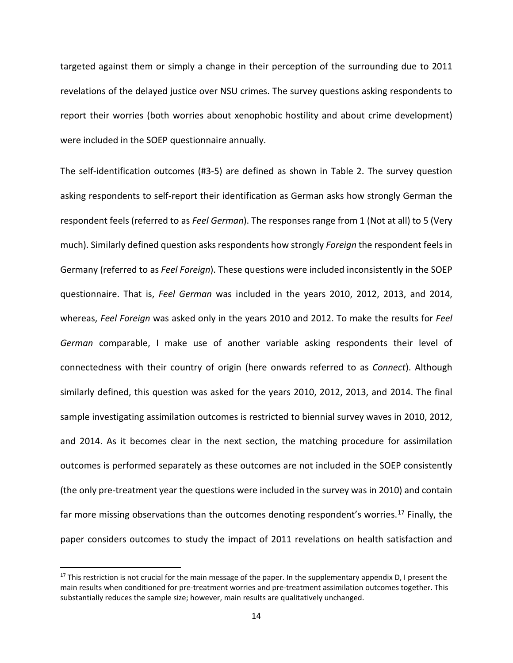targeted against them or simply a change in their perception of the surrounding due to 2011 revelations of the delayed justice over NSU crimes. The survey questions asking respondents to report their worries (both worries about xenophobic hostility and about crime development) were included in the SOEP questionnaire annually.

The self-identification outcomes (#3-5) are defined as shown in Table 2. The survey question asking respondents to self-report their identification as German asks how strongly German the respondent feels (referred to as *Feel German*). The responses range from 1 (Not at all) to 5 (Very much). Similarly defined question asks respondents how strongly *Foreign* the respondent feels in Germany (referred to as *Feel Foreign*). These questions were included inconsistently in the SOEP questionnaire. That is, *Feel German* was included in the years 2010, 2012, 2013, and 2014, whereas, *Feel Foreign* was asked only in the years 2010 and 2012. To make the results for *Feel German* comparable, I make use of another variable asking respondents their level of connectedness with their country of origin (here onwards referred to as *Connect*). Although similarly defined, this question was asked for the years 2010, 2012, 2013, and 2014. The final sample investigating assimilation outcomes is restricted to biennial survey waves in 2010, 2012, and 2014. As it becomes clear in the next section, the matching procedure for assimilation outcomes is performed separately as these outcomes are not included in the SOEP consistently (the only pre-treatment year the questions were included in the survey was in 2010) and contain far more missing observations than the outcomes denoting respondent's worries.<sup>[17](#page-13-0)</sup> Finally, the paper considers outcomes to study the impact of 2011 revelations on health satisfaction and

<span id="page-13-0"></span> $17$  This restriction is not crucial for the main message of the paper. In the supplementary appendix D, I present the main results when conditioned for pre-treatment worries and pre-treatment assimilation outcomes together. This substantially reduces the sample size; however, main results are qualitatively unchanged.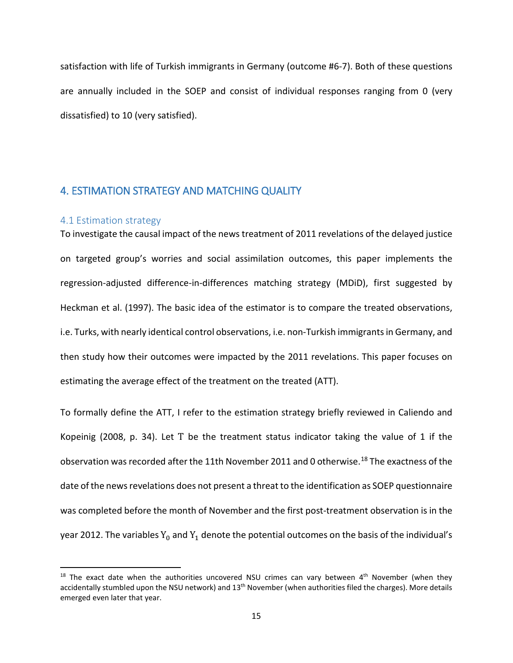satisfaction with life of Turkish immigrants in Germany (outcome #6-7). Both of these questions are annually included in the SOEP and consist of individual responses ranging from 0 (very dissatisfied) to 10 (very satisfied).

# 4. ESTIMATION STRATEGY AND MATCHING QUALITY

## 4.1 Estimation strategy

To investigate the causal impact of the news treatment of 2011 revelations of the delayed justice on targeted group's worries and social assimilation outcomes, this paper implements the regression-adjusted difference-in-differences matching strategy (MDiD), first suggested by Heckman et al. (1997). The basic idea of the estimator is to compare the treated observations, i.e. Turks, with nearly identical control observations, i.e. non-Turkish immigrants in Germany, and then study how their outcomes were impacted by the 2011 revelations. This paper focuses on estimating the average effect of the treatment on the treated (ATT).

To formally define the ATT, I refer to the estimation strategy briefly reviewed in Caliendo and Kopeinig (2008, p. 34). Let T be the treatment status indicator taking the value of 1 if the observation was recorded after the 11th November 2011 and 0 otherwise.<sup>[18](#page-14-0)</sup> The exactness of the date of the news revelations does not present a threat to the identification as SOEP questionnaire was completed before the month of November and the first post-treatment observation is in the year 2012. The variables  $Y_0$  and  $Y_1$  denote the potential outcomes on the basis of the individual's

<span id="page-14-0"></span> $18$  The exact date when the authorities uncovered NSU crimes can vary between  $4<sup>th</sup>$  November (when they accidentally stumbled upon the NSU network) and  $13<sup>th</sup>$  November (when authorities filed the charges). More details emerged even later that year.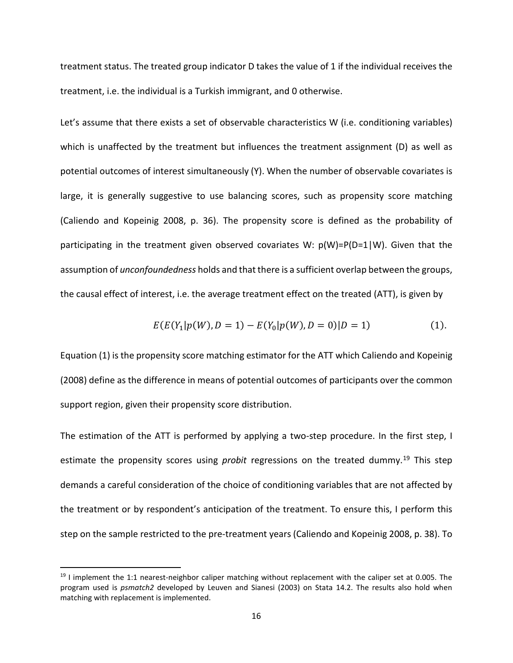treatment status. The treated group indicator D takes the value of 1 if the individual receives the treatment, i.e. the individual is a Turkish immigrant, and 0 otherwise.

Let's assume that there exists a set of observable characteristics W (i.e. conditioning variables) which is unaffected by the treatment but influences the treatment assignment (D) as well as potential outcomes of interest simultaneously (Y). When the number of observable covariates is large, it is generally suggestive to use balancing scores, such as propensity score matching (Caliendo and Kopeinig 2008, p. 36). The propensity score is defined as the probability of participating in the treatment given observed covariates W:  $p(W)=P(D=1|W)$ . Given that the assumption of *unconfoundedness* holds and that there is a sufficient overlap between the groups, the causal effect of interest, i.e. the average treatment effect on the treated (ATT), is given by

$$
E(E(Y_1|p(W), D = 1) - E(Y_0|p(W), D = 0)|D = 1)
$$
\n(1).

Equation (1) is the propensity score matching estimator for the ATT which Caliendo and Kopeinig (2008) define as the difference in means of potential outcomes of participants over the common support region, given their propensity score distribution.

The estimation of the ATT is performed by applying a two-step procedure. In the first step, I estimate the propensity scores using *probit* regressions on the treated dummy.<sup>[19](#page-15-0)</sup> This step demands a careful consideration of the choice of conditioning variables that are not affected by the treatment or by respondent's anticipation of the treatment. To ensure this, I perform this step on the sample restricted to the pre-treatment years (Caliendo and Kopeinig 2008, p. 38). To

<span id="page-15-0"></span> $19$  I implement the 1:1 nearest-neighbor caliper matching without replacement with the caliper set at 0.005. The program used is *psmatch2* developed by Leuven and Sianesi (2003) on Stata 14.2. The results also hold when matching with replacement is implemented.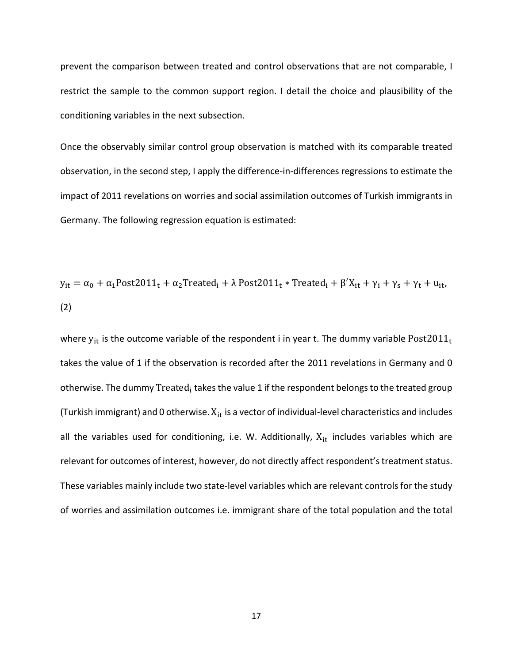prevent the comparison between treated and control observations that are not comparable, I restrict the sample to the common support region. I detail the choice and plausibility of the conditioning variables in the next subsection.

Once the observably similar control group observation is matched with its comparable treated observation, in the second step, I apply the difference-in-differences regressions to estimate the impact of 2011 revelations on worries and social assimilation outcomes of Turkish immigrants in Germany. The following regression equation is estimated:

$$
y_{it} = \alpha_0 + \alpha_1 \text{Post2011}_t + \alpha_2 \text{Treeated}_i + \lambda \text{ Post2011}_t * \text{Treeated}_i + \beta' X_{it} + \gamma_i + \gamma_s + \gamma_t + u_{it},
$$
  
(2)

where  $y_{it}$  is the outcome variable of the respondent i in year t. The dummy variable Post2011<sub>t</sub> takes the value of 1 if the observation is recorded after the 2011 revelations in Germany and 0 otherwise. The dummy Treated<sub>i</sub> takes the value 1 if the respondent belongs to the treated group (Turkish immigrant) and 0 otherwise.  $X_{it}$  is a vector of individual-level characteristics and includes all the variables used for conditioning, i.e. W. Additionally,  $X_{it}$  includes variables which are relevant for outcomes of interest, however, do not directly affect respondent's treatment status. These variables mainly include two state-level variables which are relevant controls for the study of worries and assimilation outcomes i.e. immigrant share of the total population and the total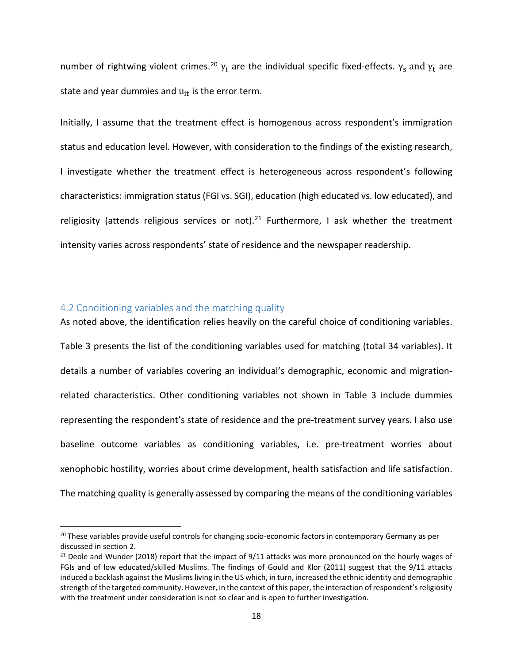number of rightwing violent crimes.<sup>[20](#page-17-0)</sup>  $γ_i$  are the individual specific fixed-effects.  $γ_s$  and  $γ_t$  are state and year dummies and  $u_{it}$  is the error term.

Initially, I assume that the treatment effect is homogenous across respondent's immigration status and education level. However, with consideration to the findings of the existing research, I investigate whether the treatment effect is heterogeneous across respondent's following characteristics: immigration status (FGI vs. SGI), education (high educated vs. low educated), and religiosity (attends religious services or not).<sup>[21](#page-17-1)</sup> Furthermore, I ask whether the treatment intensity varies across respondents' state of residence and the newspaper readership.

## 4.2 Conditioning variables and the matching quality

As noted above, the identification relies heavily on the careful choice of conditioning variables. Table 3 presents the list of the conditioning variables used for matching (total 34 variables). It details a number of variables covering an individual's demographic, economic and migrationrelated characteristics. Other conditioning variables not shown in Table 3 include dummies representing the respondent's state of residence and the pre-treatment survey years. I also use baseline outcome variables as conditioning variables, i.e. pre-treatment worries about xenophobic hostility, worries about crime development, health satisfaction and life satisfaction. The matching quality is generally assessed by comparing the means of the conditioning variables

<span id="page-17-0"></span><sup>&</sup>lt;sup>20</sup> These variables provide useful controls for changing socio-economic factors in contemporary Germany as per discussed in section 2.

<span id="page-17-1"></span> $21$  Deole and Wunder (2018) report that the impact of 9/11 attacks was more pronounced on the hourly wages of FGIs and of low educated/skilled Muslims. The findings of Gould and Klor (2011) suggest that the 9/11 attacks induced a backlash against the Muslims living in the US which, in turn, increased the ethnic identity and demographic strength of the targeted community. However, in the context of this paper, the interaction of respondent's religiosity with the treatment under consideration is not so clear and is open to further investigation.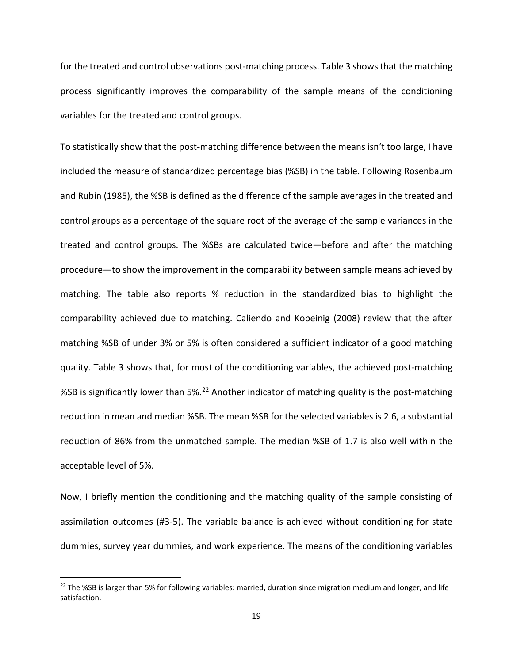for the treated and control observations post-matching process. Table 3 shows that the matching process significantly improves the comparability of the sample means of the conditioning variables for the treated and control groups.

To statistically show that the post-matching difference between the means isn't too large, I have included the measure of standardized percentage bias (%SB) in the table. Following Rosenbaum and Rubin (1985), the %SB is defined as the difference of the sample averages in the treated and control groups as a percentage of the square root of the average of the sample variances in the treated and control groups. The %SBs are calculated twice—before and after the matching procedure—to show the improvement in the comparability between sample means achieved by matching. The table also reports % reduction in the standardized bias to highlight the comparability achieved due to matching. Caliendo and Kopeinig (2008) review that the after matching %SB of under 3% or 5% is often considered a sufficient indicator of a good matching quality. Table 3 shows that, for most of the conditioning variables, the achieved post-matching %SB is significantly lower than 5%.[22](#page-18-0) Another indicator of matching quality is the post-matching reduction in mean and median %SB. The mean %SB for the selected variables is 2.6, a substantial reduction of 86% from the unmatched sample. The median %SB of 1.7 is also well within the acceptable level of 5%.

Now, I briefly mention the conditioning and the matching quality of the sample consisting of assimilation outcomes (#3-5). The variable balance is achieved without conditioning for state dummies, survey year dummies, and work experience. The means of the conditioning variables

<span id="page-18-0"></span><sup>&</sup>lt;sup>22</sup> The %SB is larger than 5% for following variables: married, duration since migration medium and longer, and life satisfaction.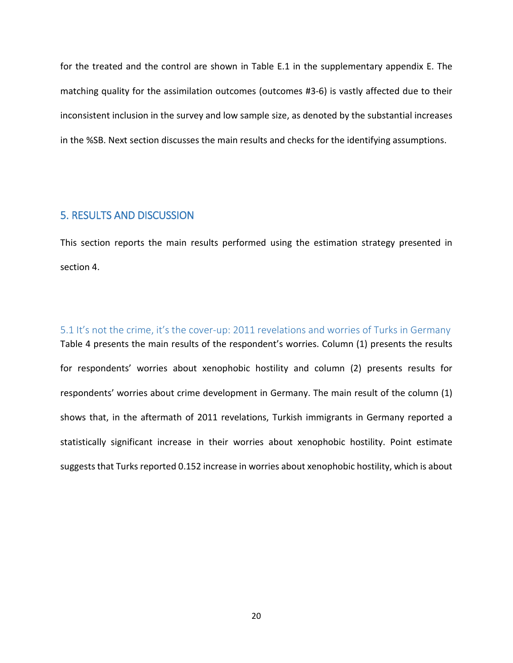for the treated and the control are shown in Table E.1 in the supplementary appendix E. The matching quality for the assimilation outcomes (outcomes #3-6) is vastly affected due to their inconsistent inclusion in the survey and low sample size, as denoted by the substantial increases in the %SB. Next section discusses the main results and checks for the identifying assumptions.

## 5. RESULTS AND DISCUSSION

This section reports the main results performed using the estimation strategy presented in section 4.

5.1 It's not the crime, it's the cover-up: 2011 revelations and worries of Turks in Germany Table 4 presents the main results of the respondent's worries. Column (1) presents the results for respondents' worries about xenophobic hostility and column (2) presents results for respondents' worries about crime development in Germany. The main result of the column (1) shows that, in the aftermath of 2011 revelations, Turkish immigrants in Germany reported a statistically significant increase in their worries about xenophobic hostility. Point estimate suggests that Turks reported 0.152 increase in worries about xenophobic hostility, which is about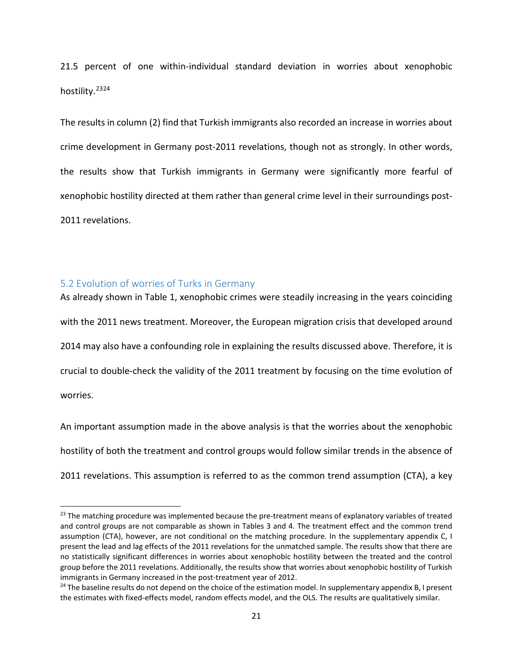21.5 percent of one within-individual standard deviation in worries about xenophobic hostility.<sup>[23](#page-20-0)[24](#page-20-1)</sup>

The results in column (2) find that Turkish immigrants also recorded an increase in worries about crime development in Germany post-2011 revelations, though not as strongly. In other words, the results show that Turkish immigrants in Germany were significantly more fearful of xenophobic hostility directed at them rather than general crime level in their surroundings post-2011 revelations.

## 5.2 Evolution of worries of Turks in Germany

As already shown in Table 1, xenophobic crimes were steadily increasing in the years coinciding with the 2011 news treatment. Moreover, the European migration crisis that developed around 2014 may also have a confounding role in explaining the results discussed above. Therefore, it is crucial to double-check the validity of the 2011 treatment by focusing on the time evolution of worries.

An important assumption made in the above analysis is that the worries about the xenophobic hostility of both the treatment and control groups would follow similar trends in the absence of 2011 revelations. This assumption is referred to as the common trend assumption (CTA), a key

<span id="page-20-0"></span><sup>&</sup>lt;sup>23</sup> The matching procedure was implemented because the pre-treatment means of explanatory variables of treated and control groups are not comparable as shown in Tables 3 and 4. The treatment effect and the common trend assumption (CTA), however, are not conditional on the matching procedure. In the supplementary appendix C, I present the lead and lag effects of the 2011 revelations for the unmatched sample. The results show that there are no statistically significant differences in worries about xenophobic hostility between the treated and the control group before the 2011 revelations. Additionally, the results show that worries about xenophobic hostility of Turkish immigrants in Germany increased in the post-treatment year of 2012.

<span id="page-20-1"></span><sup>&</sup>lt;sup>24</sup> The baseline results do not depend on the choice of the estimation model. In supplementary appendix B, I present the estimates with fixed-effects model, random effects model, and the OLS. The results are qualitatively similar.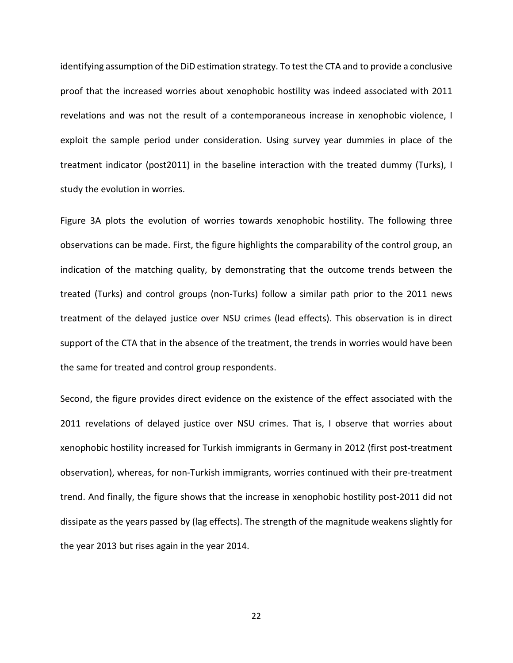identifying assumption of the DiD estimation strategy. To test the CTA and to provide a conclusive proof that the increased worries about xenophobic hostility was indeed associated with 2011 revelations and was not the result of a contemporaneous increase in xenophobic violence, I exploit the sample period under consideration. Using survey year dummies in place of the treatment indicator (post2011) in the baseline interaction with the treated dummy (Turks), I study the evolution in worries.

Figure 3A plots the evolution of worries towards xenophobic hostility. The following three observations can be made. First, the figure highlights the comparability of the control group, an indication of the matching quality, by demonstrating that the outcome trends between the treated (Turks) and control groups (non-Turks) follow a similar path prior to the 2011 news treatment of the delayed justice over NSU crimes (lead effects). This observation is in direct support of the CTA that in the absence of the treatment, the trends in worries would have been the same for treated and control group respondents.

Second, the figure provides direct evidence on the existence of the effect associated with the 2011 revelations of delayed justice over NSU crimes. That is, I observe that worries about xenophobic hostility increased for Turkish immigrants in Germany in 2012 (first post-treatment observation), whereas, for non-Turkish immigrants, worries continued with their pre-treatment trend. And finally, the figure shows that the increase in xenophobic hostility post-2011 did not dissipate as the years passed by (lag effects). The strength of the magnitude weakens slightly for the year 2013 but rises again in the year 2014.

22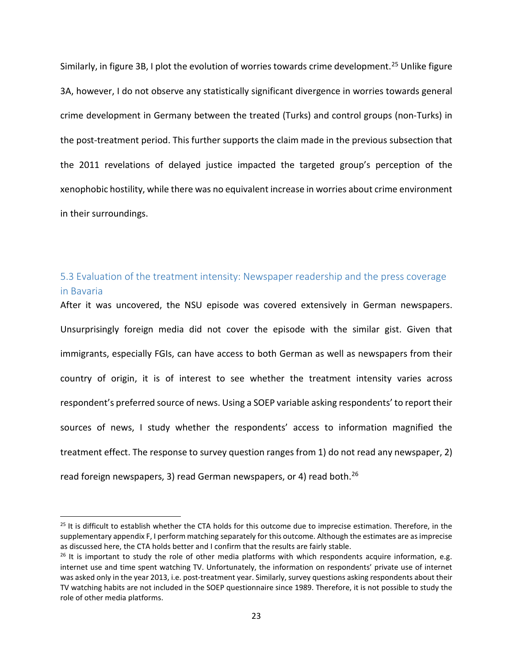Similarly, in figure 3B, I plot the evolution of worries towards crime development.<sup>[25](#page-22-0)</sup> Unlike figure 3A, however, I do not observe any statistically significant divergence in worries towards general crime development in Germany between the treated (Turks) and control groups (non-Turks) in the post-treatment period. This further supports the claim made in the previous subsection that the 2011 revelations of delayed justice impacted the targeted group's perception of the xenophobic hostility, while there was no equivalent increase in worries about crime environment in their surroundings.

# 5.3 Evaluation of the treatment intensity: Newspaper readership and the press coverage in Bavaria

After it was uncovered, the NSU episode was covered extensively in German newspapers. Unsurprisingly foreign media did not cover the episode with the similar gist. Given that immigrants, especially FGIs, can have access to both German as well as newspapers from their country of origin, it is of interest to see whether the treatment intensity varies across respondent's preferred source of news. Using a SOEP variable asking respondents' to report their sources of news, I study whether the respondents' access to information magnified the treatment effect. The response to survey question ranges from 1) do not read any newspaper, 2) read foreign newspapers, 3) read German newspapers, or 4) read both.<sup>[26](#page-22-1)</sup>

<span id="page-22-0"></span> $25$  It is difficult to establish whether the CTA holds for this outcome due to imprecise estimation. Therefore, in the supplementary appendix F, I perform matching separately for this outcome. Although the estimates are as imprecise as discussed here, the CTA holds better and I confirm that the results are fairly stable.<br><sup>26</sup> It is important to study the role of other media platforms with which respondents acquire information, e.g.

<span id="page-22-1"></span>internet use and time spent watching TV. Unfortunately, the information on respondents' private use of internet was asked only in the year 2013, i.e. post-treatment year. Similarly, survey questions asking respondents about their TV watching habits are not included in the SOEP questionnaire since 1989. Therefore, it is not possible to study the role of other media platforms.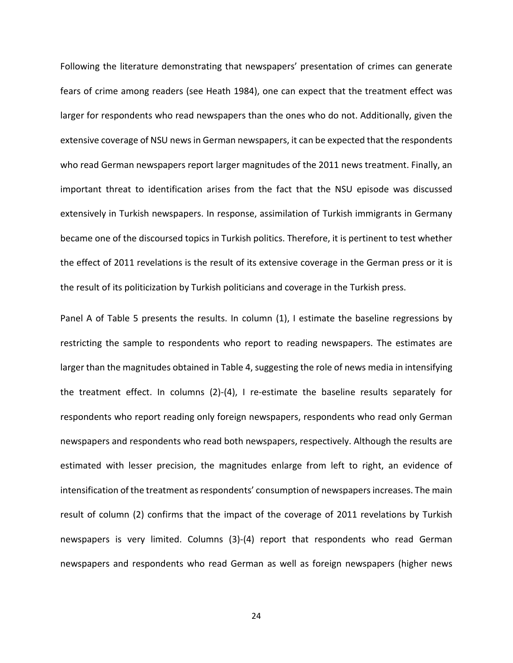Following the literature demonstrating that newspapers' presentation of crimes can generate fears of crime among readers (see Heath 1984), one can expect that the treatment effect was larger for respondents who read newspapers than the ones who do not. Additionally, given the extensive coverage of NSU news in German newspapers, it can be expected that the respondents who read German newspapers report larger magnitudes of the 2011 news treatment. Finally, an important threat to identification arises from the fact that the NSU episode was discussed extensively in Turkish newspapers. In response, assimilation of Turkish immigrants in Germany became one of the discoursed topics in Turkish politics. Therefore, it is pertinent to test whether the effect of 2011 revelations is the result of its extensive coverage in the German press or it is the result of its politicization by Turkish politicians and coverage in the Turkish press.

Panel A of Table 5 presents the results. In column (1), I estimate the baseline regressions by restricting the sample to respondents who report to reading newspapers. The estimates are larger than the magnitudes obtained in Table 4, suggesting the role of news media in intensifying the treatment effect. In columns (2)-(4), I re-estimate the baseline results separately for respondents who report reading only foreign newspapers, respondents who read only German newspapers and respondents who read both newspapers, respectively. Although the results are estimated with lesser precision, the magnitudes enlarge from left to right, an evidence of intensification of the treatment as respondents' consumption of newspapers increases. The main result of column (2) confirms that the impact of the coverage of 2011 revelations by Turkish newspapers is very limited. Columns (3)-(4) report that respondents who read German newspapers and respondents who read German as well as foreign newspapers (higher news

24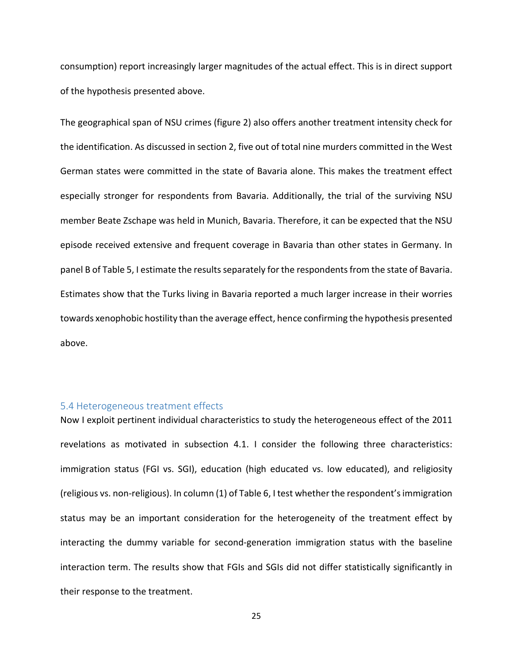consumption) report increasingly larger magnitudes of the actual effect. This is in direct support of the hypothesis presented above.

The geographical span of NSU crimes (figure 2) also offers another treatment intensity check for the identification. As discussed in section 2, five out of total nine murders committed in the West German states were committed in the state of Bavaria alone. This makes the treatment effect especially stronger for respondents from Bavaria. Additionally, the trial of the surviving NSU member Beate Zschape was held in Munich, Bavaria. Therefore, it can be expected that the NSU episode received extensive and frequent coverage in Bavaria than other states in Germany. In panel B of Table 5, I estimate the results separately for the respondents from the state of Bavaria. Estimates show that the Turks living in Bavaria reported a much larger increase in their worries towards xenophobic hostility than the average effect, hence confirming the hypothesis presented above.

## 5.4 Heterogeneous treatment effects

Now I exploit pertinent individual characteristics to study the heterogeneous effect of the 2011 revelations as motivated in subsection 4.1. I consider the following three characteristics: immigration status (FGI vs. SGI), education (high educated vs. low educated), and religiosity (religious vs. non-religious). In column (1) of Table 6, I test whether the respondent's immigration status may be an important consideration for the heterogeneity of the treatment effect by interacting the dummy variable for second-generation immigration status with the baseline interaction term. The results show that FGIs and SGIs did not differ statistically significantly in their response to the treatment.

25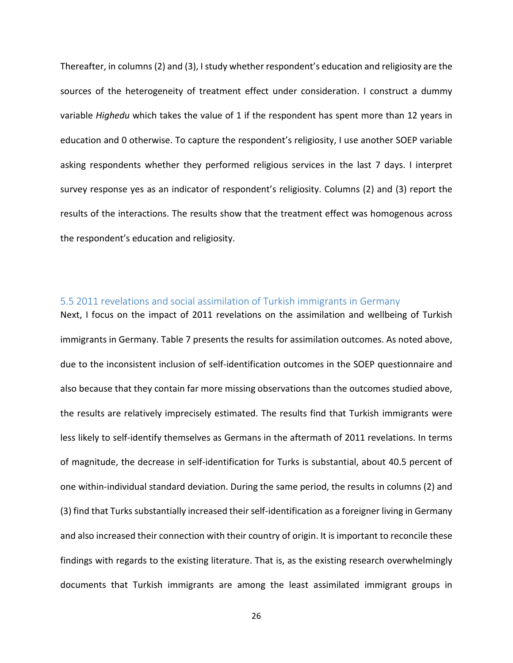Thereafter, in columns (2) and (3), I study whether respondent's education and religiosity are the sources of the heterogeneity of treatment effect under consideration. I construct a dummy variable *Highedu* which takes the value of 1 if the respondent has spent more than 12 years in education and 0 otherwise. To capture the respondent's religiosity, I use another SOEP variable asking respondents whether they performed religious services in the last 7 days. I interpret survey response yes as an indicator of respondent's religiosity. Columns (2) and (3) report the results of the interactions. The results show that the treatment effect was homogenous across the respondent's education and religiosity.

## 5.5 2011 revelations and social assimilation of Turkish immigrants in Germany

Next, I focus on the impact of 2011 revelations on the assimilation and wellbeing of Turkish immigrants in Germany. Table 7 presents the results for assimilation outcomes. As noted above, due to the inconsistent inclusion of self-identification outcomes in the SOEP questionnaire and also because that they contain far more missing observations than the outcomes studied above, the results are relatively imprecisely estimated. The results find that Turkish immigrants were less likely to self-identify themselves as Germans in the aftermath of 2011 revelations. In terms of magnitude, the decrease in self-identification for Turks is substantial, about 40.5 percent of one within-individual standard deviation. During the same period, the results in columns (2) and (3) find that Turks substantially increased their self-identification as a foreigner living in Germany and also increased their connection with their country of origin. It is important to reconcile these findings with regards to the existing literature. That is, as the existing research overwhelmingly documents that Turkish immigrants are among the least assimilated immigrant groups in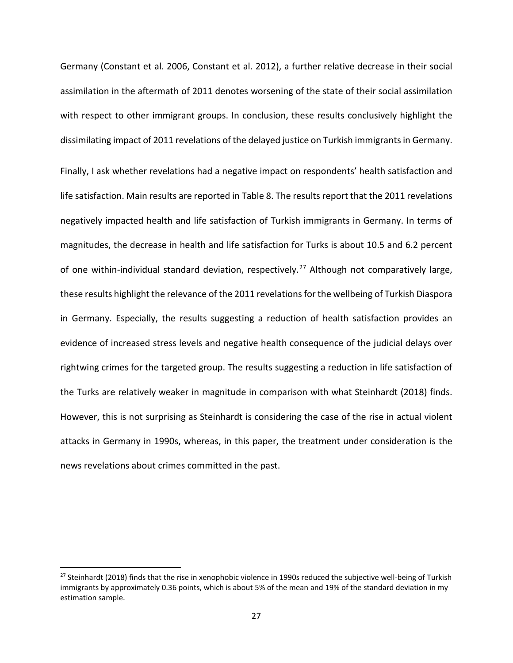Germany (Constant et al. 2006, Constant et al. 2012), a further relative decrease in their social assimilation in the aftermath of 2011 denotes worsening of the state of their social assimilation with respect to other immigrant groups. In conclusion, these results conclusively highlight the dissimilating impact of 2011 revelations of the delayed justice on Turkish immigrants in Germany.

Finally, I ask whether revelations had a negative impact on respondents' health satisfaction and life satisfaction. Main results are reported in Table 8. The results report that the 2011 revelations negatively impacted health and life satisfaction of Turkish immigrants in Germany. In terms of magnitudes, the decrease in health and life satisfaction for Turks is about 10.5 and 6.2 percent of one within-individual standard deviation, respectively.<sup>[27](#page-26-0)</sup> Although not comparatively large, these results highlight the relevance of the 2011 revelations for the wellbeing of Turkish Diaspora in Germany. Especially, the results suggesting a reduction of health satisfaction provides an evidence of increased stress levels and negative health consequence of the judicial delays over rightwing crimes for the targeted group. The results suggesting a reduction in life satisfaction of the Turks are relatively weaker in magnitude in comparison with what Steinhardt (2018) finds. However, this is not surprising as Steinhardt is considering the case of the rise in actual violent attacks in Germany in 1990s, whereas, in this paper, the treatment under consideration is the news revelations about crimes committed in the past.

<span id="page-26-0"></span> $27$  Steinhardt (2018) finds that the rise in xenophobic violence in 1990s reduced the subjective well-being of Turkish immigrants by approximately 0.36 points, which is about 5% of the mean and 19% of the standard deviation in my estimation sample.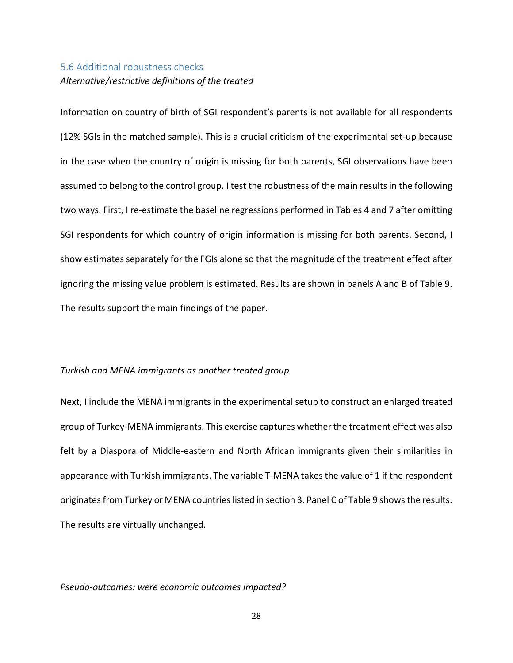## 5.6 Additional robustness checks

## *Alternative/restrictive definitions of the treated*

Information on country of birth of SGI respondent's parents is not available for all respondents (12% SGIs in the matched sample). This is a crucial criticism of the experimental set-up because in the case when the country of origin is missing for both parents, SGI observations have been assumed to belong to the control group. I test the robustness of the main results in the following two ways. First, I re-estimate the baseline regressions performed in Tables 4 and 7 after omitting SGI respondents for which country of origin information is missing for both parents. Second, I show estimates separately for the FGIs alone so that the magnitude of the treatment effect after ignoring the missing value problem is estimated. Results are shown in panels A and B of Table 9. The results support the main findings of the paper.

### *Turkish and MENA immigrants as another treated group*

Next, I include the MENA immigrants in the experimental setup to construct an enlarged treated group of Turkey-MENA immigrants. This exercise captures whether the treatment effect was also felt by a Diaspora of Middle-eastern and North African immigrants given their similarities in appearance with Turkish immigrants. The variable T-MENA takes the value of 1 if the respondent originates from Turkey or MENA countries listed in section 3. Panel C of Table 9 shows the results. The results are virtually unchanged.

#### *Pseudo-outcomes: were economic outcomes impacted?*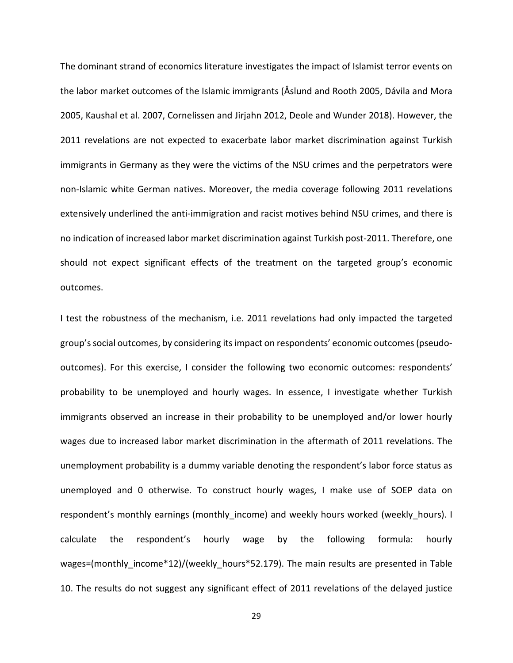The dominant strand of economics literature investigates the impact of Islamist terror events on the labor market outcomes of the Islamic immigrants (Åslund and Rooth 2005, Dávila and Mora 2005, Kaushal et al. 2007, Cornelissen and Jirjahn 2012, Deole and Wunder 2018). However, the 2011 revelations are not expected to exacerbate labor market discrimination against Turkish immigrants in Germany as they were the victims of the NSU crimes and the perpetrators were non-Islamic white German natives. Moreover, the media coverage following 2011 revelations extensively underlined the anti-immigration and racist motives behind NSU crimes, and there is no indication of increased labor market discrimination against Turkish post-2011. Therefore, one should not expect significant effects of the treatment on the targeted group's economic outcomes.

I test the robustness of the mechanism, i.e. 2011 revelations had only impacted the targeted group's social outcomes, by considering itsimpact on respondents' economic outcomes (pseudooutcomes). For this exercise, I consider the following two economic outcomes: respondents' probability to be unemployed and hourly wages. In essence, I investigate whether Turkish immigrants observed an increase in their probability to be unemployed and/or lower hourly wages due to increased labor market discrimination in the aftermath of 2011 revelations. The unemployment probability is a dummy variable denoting the respondent's labor force status as unemployed and 0 otherwise. To construct hourly wages, I make use of SOEP data on respondent's monthly earnings (monthly income) and weekly hours worked (weekly hours). I calculate the respondent's hourly wage by the following formula: hourly wages=(monthly income\*12)/(weekly hours\*52.179). The main results are presented in Table 10. The results do not suggest any significant effect of 2011 revelations of the delayed justice

29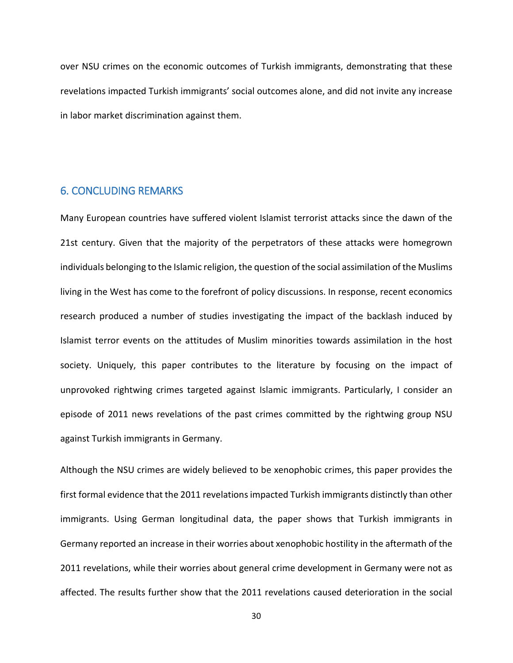over NSU crimes on the economic outcomes of Turkish immigrants, demonstrating that these revelations impacted Turkish immigrants' social outcomes alone, and did not invite any increase in labor market discrimination against them.

## 6. CONCLUDING REMARKS

Many European countries have suffered violent Islamist terrorist attacks since the dawn of the 21st century. Given that the majority of the perpetrators of these attacks were homegrown individuals belonging to the Islamic religion, the question of the social assimilation of the Muslims living in the West has come to the forefront of policy discussions. In response, recent economics research produced a number of studies investigating the impact of the backlash induced by Islamist terror events on the attitudes of Muslim minorities towards assimilation in the host society. Uniquely, this paper contributes to the literature by focusing on the impact of unprovoked rightwing crimes targeted against Islamic immigrants. Particularly, I consider an episode of 2011 news revelations of the past crimes committed by the rightwing group NSU against Turkish immigrants in Germany.

Although the NSU crimes are widely believed to be xenophobic crimes, this paper provides the first formal evidence that the 2011 revelations impacted Turkish immigrants distinctly than other immigrants. Using German longitudinal data, the paper shows that Turkish immigrants in Germany reported an increase in their worries about xenophobic hostility in the aftermath of the 2011 revelations, while their worries about general crime development in Germany were not as affected. The results further show that the 2011 revelations caused deterioration in the social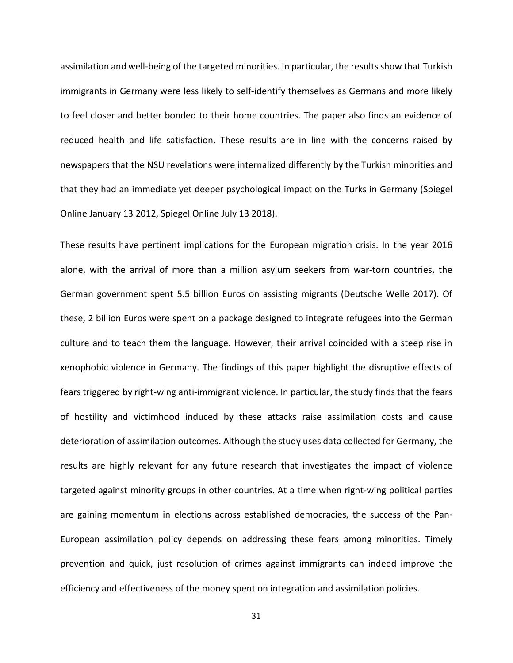assimilation and well-being of the targeted minorities. In particular, the results show that Turkish immigrants in Germany were less likely to self-identify themselves as Germans and more likely to feel closer and better bonded to their home countries. The paper also finds an evidence of reduced health and life satisfaction. These results are in line with the concerns raised by newspapers that the NSU revelations were internalized differently by the Turkish minorities and that they had an immediate yet deeper psychological impact on the Turks in Germany (Spiegel Online January 13 2012, Spiegel Online July 13 2018).

These results have pertinent implications for the European migration crisis. In the year 2016 alone, with the arrival of more than a million asylum seekers from war-torn countries, the German government spent 5.5 billion Euros on assisting migrants (Deutsche Welle 2017). Of these, 2 billion Euros were spent on a package designed to integrate refugees into the German culture and to teach them the language. However, their arrival coincided with a steep rise in xenophobic violence in Germany. The findings of this paper highlight the disruptive effects of fears triggered by right-wing anti-immigrant violence. In particular, the study finds that the fears of hostility and victimhood induced by these attacks raise assimilation costs and cause deterioration of assimilation outcomes. Although the study uses data collected for Germany, the results are highly relevant for any future research that investigates the impact of violence targeted against minority groups in other countries. At a time when right-wing political parties are gaining momentum in elections across established democracies, the success of the Pan-European assimilation policy depends on addressing these fears among minorities. Timely prevention and quick, just resolution of crimes against immigrants can indeed improve the efficiency and effectiveness of the money spent on integration and assimilation policies.

31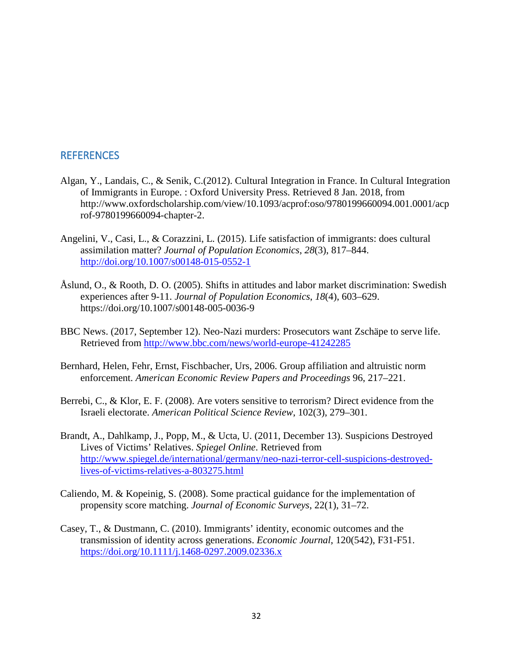## REFERENCES

- Algan, Y., Landais, C., & Senik, C.(2012). Cultural Integration in France. In Cultural Integration of Immigrants in Europe. : Oxford University Press. Retrieved 8 Jan. 2018, from [http://www.oxfordscholarship.com/view/10.1093/acprof:oso/9780199660094.001.0001/acp](http://www.oxfordscholarship.com/view/10.1093/acprof:oso/9780199660094.001.0001/acprof-9780199660094-chapter-2) [rof-9780199660094-chapter-2.](http://www.oxfordscholarship.com/view/10.1093/acprof:oso/9780199660094.001.0001/acprof-9780199660094-chapter-2)
- Angelini, V., Casi, L., & Corazzini, L. (2015). Life satisfaction of immigrants: does cultural assimilation matter? *Journal of Population Economics*, *28*(3), 817–844. <http://doi.org/10.1007/s00148-015-0552-1>
- Åslund, O., & Rooth, D. O. (2005). Shifts in attitudes and labor market discrimination: Swedish experiences after 9-11. *Journal of Population Economics*, *18*(4), 603–629. https://doi.org/10.1007/s00148-005-0036-9
- BBC News. (2017, September 12). Neo-Nazi murders: Prosecutors want Zschäpe to serve life. Retrieved from<http://www.bbc.com/news/world-europe-41242285>
- Bernhard, Helen, Fehr, Ernst, Fischbacher, Urs, 2006. Group affiliation and altruistic norm enforcement. *American Economic Review Papers and Proceedings* 96, 217–221.
- Berrebi, C., & Klor, E. F. (2008). Are voters sensitive to terrorism? Direct evidence from the Israeli electorate. *American Political Science Review*, 102(3), 279–301.
- Brandt, A., Dahlkamp, J., Popp, M., & Ucta, U. (2011, December 13). Suspicions Destroyed Lives of Victims' Relatives. *Spiegel Online*. Retrieved from [http://www.spiegel.de/international/germany/neo-nazi-terror-cell-suspicions-destroyed](http://www.spiegel.de/international/germany/neo-nazi-terror-cell-suspicions-destroyed-lives-of-victims-relatives-a-803275.html)[lives-of-victims-relatives-a-803275.html](http://www.spiegel.de/international/germany/neo-nazi-terror-cell-suspicions-destroyed-lives-of-victims-relatives-a-803275.html)
- Caliendo, M. & Kopeinig, S. (2008). Some practical guidance for the implementation of propensity score matching. *Journal of Economic Surveys*, 22(1), 31–72.
- Casey, T., & Dustmann, C. (2010). Immigrants' identity, economic outcomes and the transmission of identity across generations. *Economic Journal*, 120(542), F31-F51. <https://doi.org/10.1111/j.1468-0297.2009.02336.x>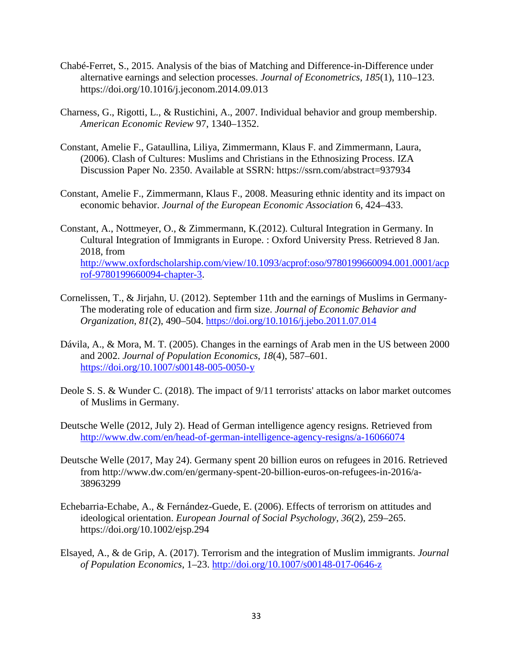- Chabé-Ferret, S., 2015. Analysis of the bias of Matching and Difference-in-Difference under alternative earnings and selection processes. *Journal of Econometrics*, *185*(1), 110–123. https://doi.org/10.1016/j.jeconom.2014.09.013
- Charness, G., Rigotti, L., & Rustichini, A., 2007. Individual behavior and group membership. *American Economic Review* 97, 1340–1352.
- Constant, Amelie F., Gataullina, Liliya, Zimmermann, Klaus F. and Zimmermann, Laura, (2006). Clash of Cultures: Muslims and Christians in the Ethnosizing Process. IZA Discussion Paper No. 2350. Available at SSRN: <https://ssrn.com/abstract=937934>
- Constant, Amelie F., Zimmermann, Klaus F., 2008. Measuring ethnic identity and its impact on economic behavior. *Journal of the European Economic Association* 6, 424–433.

Constant, A., Nottmeyer, O., & Zimmermann, K.(2012). Cultural Integration in Germany. In Cultural Integration of Immigrants in Europe. : Oxford University Press. Retrieved 8 Jan. 2018, from [http://www.oxfordscholarship.com/view/10.1093/acprof:oso/9780199660094.001.0001/acp](http://www.oxfordscholarship.com/view/10.1093/acprof:oso/9780199660094.001.0001/acprof-9780199660094-chapter-3) [rof-9780199660094-chapter-3.](http://www.oxfordscholarship.com/view/10.1093/acprof:oso/9780199660094.001.0001/acprof-9780199660094-chapter-3)

- Cornelissen, T., & Jirjahn, U. (2012). September 11th and the earnings of Muslims in Germany-The moderating role of education and firm size. *Journal of Economic Behavior and Organization*, *81*(2), 490–504.<https://doi.org/10.1016/j.jebo.2011.07.014>
- Dávila, A., & Mora, M. T. (2005). Changes in the earnings of Arab men in the US between 2000 and 2002. *Journal of Population Economics*, *18*(4), 587–601. <https://doi.org/10.1007/s00148-005-0050-y>
- Deole S. S. & Wunder C. (2018). The impact of 9/11 terrorists' attacks on labor market outcomes of Muslims in Germany.
- Deutsche Welle (2012, July 2). Head of German intelligence agency resigns. Retrieved from <http://www.dw.com/en/head-of-german-intelligence-agency-resigns/a-16066074>
- Deutsche Welle (2017, May 24). Germany spent 20 billion euros on refugees in 2016. Retrieved from [http://www.dw.com/en/germany-spent-20-billion-euros-on-refugees-in-2016/a-](http://www.dw.com/en/germany-spent-20-billion-euros-on-refugees-in-2016/a-38963299)[38963299](http://www.dw.com/en/germany-spent-20-billion-euros-on-refugees-in-2016/a-38963299)
- Echebarria-Echabe, A., & Fernández-Guede, E. (2006). Effects of terrorism on attitudes and ideological orientation. *European Journal of Social Psychology*, *36*(2), 259–265. https://doi.org/10.1002/ejsp.294
- Elsayed, A., & de Grip, A. (2017). Terrorism and the integration of Muslim immigrants. *Journal of Population Economics*, 1–23.<http://doi.org/10.1007/s00148-017-0646-z>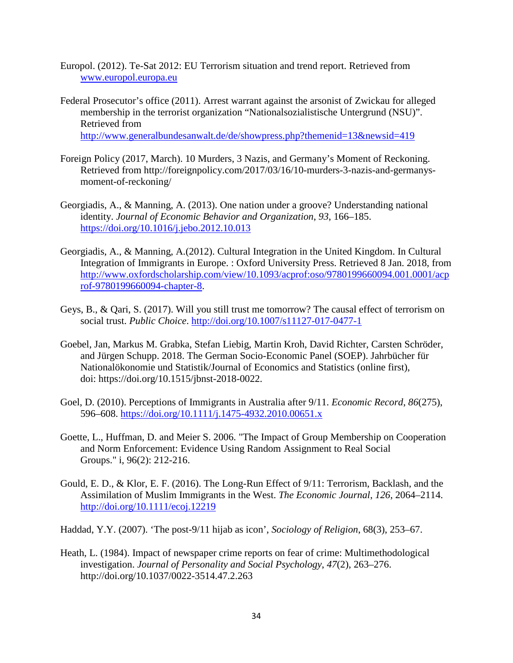- Europol. (2012). Te-Sat 2012: EU Terrorism situation and trend report. Retrieved from [www.europol.europa.eu](http://www.europol.europa.eu/)
- Federal Prosecutor's office (2011). Arrest warrant against the arsonist of Zwickau for alleged membership in the terrorist organization "Nationalsozialistische Untergrund (NSU)". Retrieved from <http://www.generalbundesanwalt.de/de/showpress.php?themenid=13&newsid=419>
- Foreign Policy (2017, March). 10 Murders, 3 Nazis, and Germany's Moment of Reckoning. Retrieved from [http://foreignpolicy.com/2017/03/16/10-murders-3-nazis-and-germanys](http://foreignpolicy.com/2017/03/16/10-murders-3-nazis-and-germanys-moment-of-reckoning/)[moment-of-reckoning/](http://foreignpolicy.com/2017/03/16/10-murders-3-nazis-and-germanys-moment-of-reckoning/)
- Georgiadis, A., & Manning, A. (2013). One nation under a groove? Understanding national identity. *Journal of Economic Behavior and Organization*, *93*, 166–185. <https://doi.org/10.1016/j.jebo.2012.10.013>
- Georgiadis, A., & Manning, A.(2012). Cultural Integration in the United Kingdom. In Cultural Integration of Immigrants in Europe. : Oxford University Press. Retrieved 8 Jan. 2018, from [http://www.oxfordscholarship.com/view/10.1093/acprof:oso/9780199660094.001.0001/acp](http://www.oxfordscholarship.com/view/10.1093/acprof:oso/9780199660094.001.0001/acprof-9780199660094-chapter-8) [rof-9780199660094-chapter-8.](http://www.oxfordscholarship.com/view/10.1093/acprof:oso/9780199660094.001.0001/acprof-9780199660094-chapter-8)
- Geys, B., & Qari, S. (2017). Will you still trust me tomorrow? The causal effect of terrorism on social trust. *Public Choice*.<http://doi.org/10.1007/s11127-017-0477-1>
- Goebel, Jan, Markus M. Grabka, Stefan Liebig, Martin Kroh, David Richter, Carsten Schröder, and Jürgen Schupp. 2018. The German Socio-Economic Panel (SOEP). Jahrbücher für Nationalökonomie und Statistik/Journal of Economics and Statistics (online first), doi: [https://doi.org/10.1515/jbnst-2018-0022.](https://doi.org/10.1515/jbnst-2018-0022)
- Goel, D. (2010). Perceptions of Immigrants in Australia after 9/11. *Economic Record*, *86*(275), 596–608.<https://doi.org/10.1111/j.1475-4932.2010.00651.x>
- Goette, L., Huffman, D. and Meier S. 2006. "The Impact of Group Membership on Cooperation and Norm Enforcement: Evidence Using Random Assignment to Real Social Groups." i, 96(2): 212-216.
- Gould, E. D., & Klor, E. F. (2016). The Long-Run Effect of 9/11: Terrorism, Backlash, and the Assimilation of Muslim Immigrants in the West. *The Economic Journal*, *126*, 2064–2114. <http://doi.org/10.1111/ecoj.12219>
- Haddad, Y.Y. (2007). 'The post-9/11 hijab as icon', *Sociology of Religion*, 68(3), 253–67.
- Heath, L. (1984). Impact of newspaper crime reports on fear of crime: Multimethodological investigation. *Journal of Personality and Social Psychology*, *47*(2), 263–276. http://doi.org/10.1037/0022-3514.47.2.263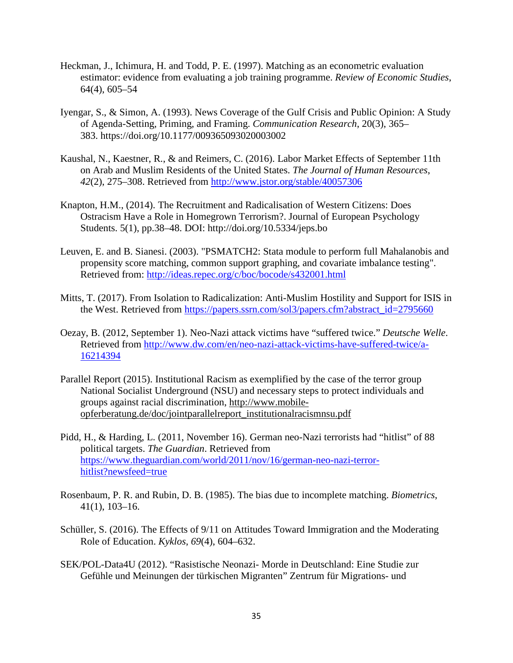- Heckman, J., Ichimura, H. and Todd, P. E. (1997). Matching as an econometric evaluation estimator: evidence from evaluating a job training programme. *Review of Economic Studies*, 64(4), 605–54
- Iyengar, S., & Simon, A. (1993). News Coverage of the Gulf Crisis and Public Opinion: A Study of Agenda-Setting, Priming, and Framing. *Communication Research*, 20(3), 365– 383. <https://doi.org/10.1177/009365093020003002>
- Kaushal, N., Kaestner, R., & and Reimers, C. (2016). Labor Market Effects of September 11th on Arab and Muslim Residents of the United States. *The Journal of Human Resources*, *42*(2), 275–308. Retrieved from<http://www.jstor.org/stable/40057306>
- Knapton, H.M., (2014). The Recruitment and Radicalisation of Western Citizens: Does Ostracism Have a Role in Homegrown Terrorism?. Journal of European Psychology Students. 5(1), pp.38–48. DOI: <http://doi.org/10.5334/jeps.bo>
- Leuven, E. and B. Sianesi. (2003). "PSMATCH2: Stata module to perform full Mahalanobis and propensity score matching, common support graphing, and covariate imbalance testing". Retrieved from:<http://ideas.repec.org/c/boc/bocode/s432001.html>
- Mitts, T. (2017). From Isolation to Radicalization: Anti-Muslim Hostility and Support for ISIS in the West. Retrieved from [https://papers.ssrn.com/sol3/papers.cfm?abstract\\_id=2795660](https://papers.ssrn.com/sol3/papers.cfm?abstract_id=2795660)
- Oezay, B. (2012, September 1). Neo-Nazi attack victims have "suffered twice." *Deutsche Welle*. Retrieved from [http://www.dw.com/en/neo-nazi-attack-victims-have-suffered-twice/a-](http://www.dw.com/en/neo-nazi-attack-victims-have-suffered-twice/a-16214394)[16214394](http://www.dw.com/en/neo-nazi-attack-victims-have-suffered-twice/a-16214394)
- Parallel Report (2015). Institutional Racism as exemplified by the case of the terror group National Socialist Underground (NSU) and necessary steps to protect individuals and groups against racial discrimination, [http://www.mobile](http://www.mobile-opferberatung.de/doc/jointparallelreport_institutionalracismnsu.pdf)[opferberatung.de/doc/jointparallelreport\\_institutionalracismnsu.pdf](http://www.mobile-opferberatung.de/doc/jointparallelreport_institutionalracismnsu.pdf)
- Pidd, H., & Harding, L. (2011, November 16). German neo-Nazi terrorists had "hitlist" of 88 political targets. *The Guardian*. Retrieved from [https://www.theguardian.com/world/2011/nov/16/german-neo-nazi-terror](https://www.theguardian.com/world/2011/nov/16/german-neo-nazi-terror-hitlist?newsfeed=true)[hitlist?newsfeed=true](https://www.theguardian.com/world/2011/nov/16/german-neo-nazi-terror-hitlist?newsfeed=true)
- Rosenbaum, P. R. and Rubin, D. B. (1985). The bias due to incomplete matching. *Biometrics*, 41(1), 103–16.
- Schüller, S. (2016). The Effects of 9/11 on Attitudes Toward Immigration and the Moderating Role of Education. *Kyklos*, *69*(4), 604–632.
- SEK/POL-Data4U (2012). "Rasistische Neonazi- Morde in Deutschland: Eine Studie zur Gefühle und Meinungen der türkischen Migranten" Zentrum für Migrations- und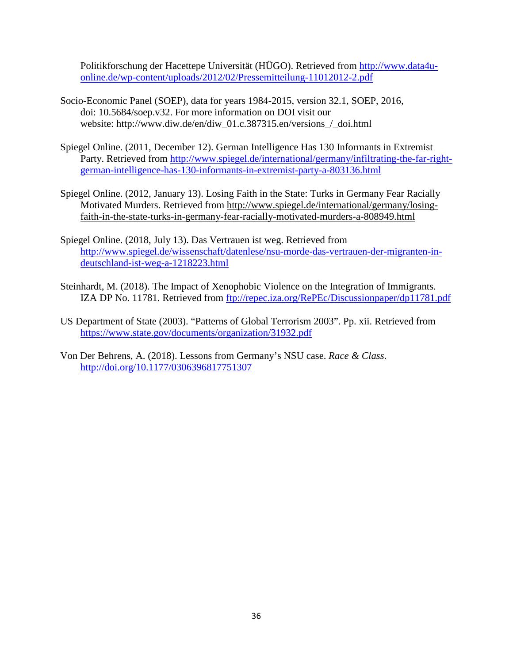Politikforschung der Hacettepe Universität (HÜGO). Retrieved from [http://www.data4u](http://www.data4u-online.de/wp-content/uploads/2012/02/Pressemitteilung-11012012-2.pdf)[online.de/wp-content/uploads/2012/02/Pressemitteilung-11012012-2.pdf](http://www.data4u-online.de/wp-content/uploads/2012/02/Pressemitteilung-11012012-2.pdf)

- Socio-Economic Panel (SOEP), data for years 1984-2015, version 32.1, SOEP, 2016, doi: 10.5684/soep.v32. For more information on DOI visit our website: [http://www.diw.de/en/diw\\_01.c.387315.en/versions\\_/\\_doi.html](http://www.diw.de/en/diw_01.c.387315.en/versions_/_doi.html)
- Spiegel Online. (2011, December 12). German Intelligence Has 130 Informants in Extremist Party. Retrieved from [http://www.spiegel.de/international/germany/infiltrating-the-far-right](http://www.spiegel.de/international/germany/infiltrating-the-far-right-german-intelligence-has-130-informants-in-extremist-party-a-803136.html)[german-intelligence-has-130-informants-in-extremist-party-a-803136.html](http://www.spiegel.de/international/germany/infiltrating-the-far-right-german-intelligence-has-130-informants-in-extremist-party-a-803136.html)
- Spiegel Online. (2012, January 13). Losing Faith in the State: Turks in Germany Fear Racially Motivated Murders. Retrieved from [http://www.spiegel.de/international/germany/losing](http://www.spiegel.de/international/germany/losing-faith-in-the-state-turks-in-germany-fear-racially-motivated-murders-a-808949.html)[faith-in-the-state-turks-in-germany-fear-racially-motivated-murders-a-808949.html](http://www.spiegel.de/international/germany/losing-faith-in-the-state-turks-in-germany-fear-racially-motivated-murders-a-808949.html)
- Spiegel Online. (2018, July 13). Das Vertrauen ist weg. Retrieved from [http://www.spiegel.de/wissenschaft/datenlese/nsu-morde-das-vertrauen-der-migranten-in](http://www.spiegel.de/wissenschaft/datenlese/nsu-morde-das-vertrauen-der-migranten-in-deutschland-ist-weg-a-1218223.html)[deutschland-ist-weg-a-1218223.html](http://www.spiegel.de/wissenschaft/datenlese/nsu-morde-das-vertrauen-der-migranten-in-deutschland-ist-weg-a-1218223.html)
- Steinhardt, M. (2018). The Impact of Xenophobic Violence on the Integration of Immigrants. IZA DP No. 11781. Retrieved from <ftp://repec.iza.org/RePEc/Discussionpaper/dp11781.pdf>
- US Department of State (2003). "Patterns of Global Terrorism 2003". Pp. xii. Retrieved from <https://www.state.gov/documents/organization/31932.pdf>
- Von Der Behrens, A. (2018). Lessons from Germany's NSU case. *Race & Class*. <http://doi.org/10.1177/0306396817751307>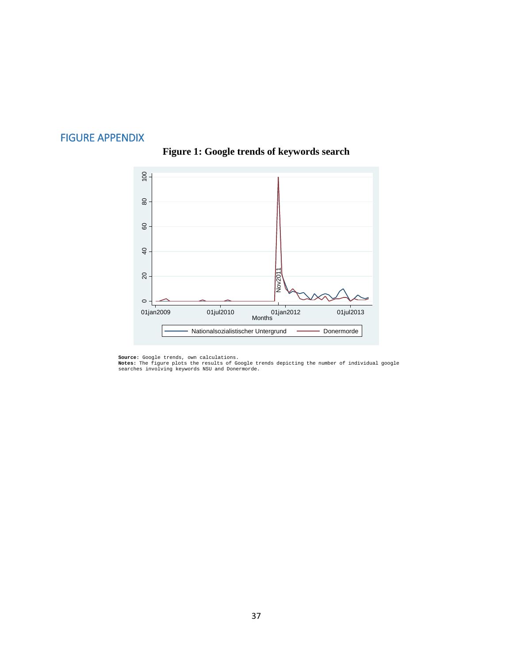# FIGURE APPENDIX



# **Figure 1: Google trends of keywords search**

**Source:** Google trends, own calculations.<br>**Notes:** The figure plots the results of Google trends depicting the number of individual google<br>searches involving keywords NSU and Donermorde.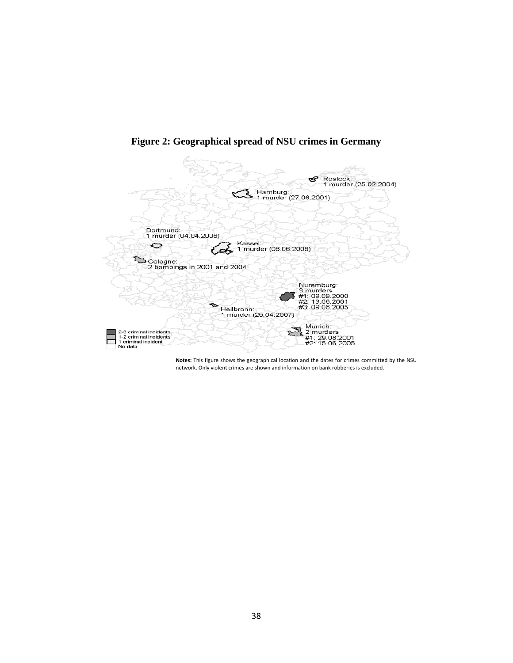

**Figure 2: Geographical spread of NSU crimes in Germany**

**Notes:** This figure shows the geographical location and the dates for crimes committed by the NSU network. Only violent crimes are shown and information on bank robberies is excluded.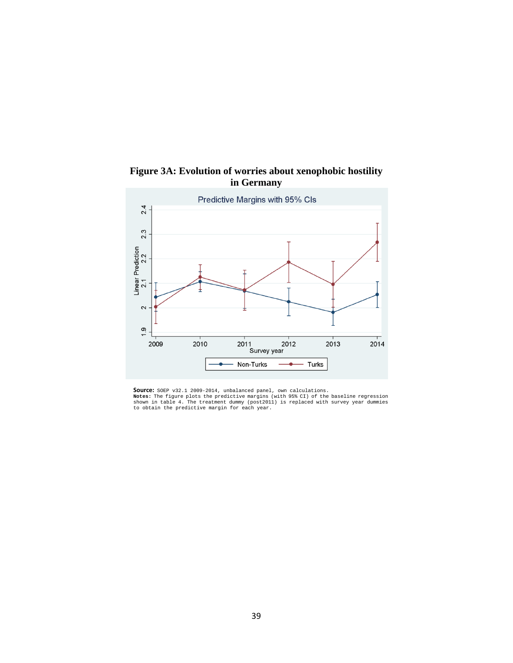



**Source:** SOEP v32.1 2009-2014, unbalanced panel, own calculations.<br>**Notes:** The figure plots the predictive margins (with 95% CI) of the baseline regression<br>shown in table 4. The treatment dummy (post2011) is replaced wit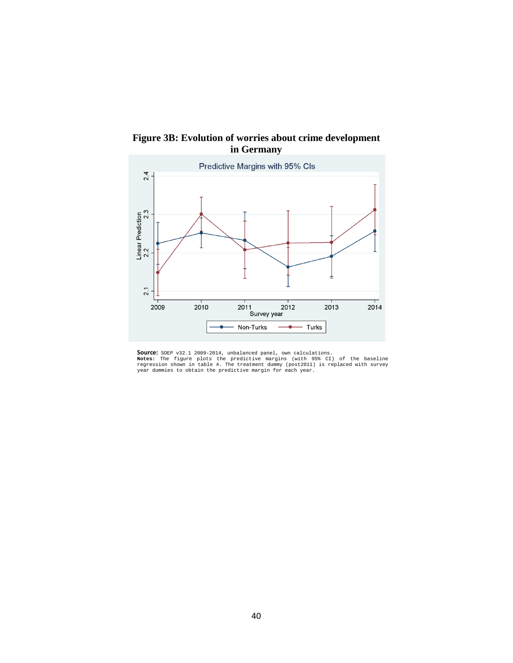

**Figure 3B: Evolution of worries about crime development in Germany**

**Source:** SOEP v32.1 2009-2014, unbalanced panel, own calculations.<br>**Notes:** The figure plots the predictive margins (with 95% CI) of the baseline<br>regression shown in table 4. The treatment dummy (post2011) is replaced wit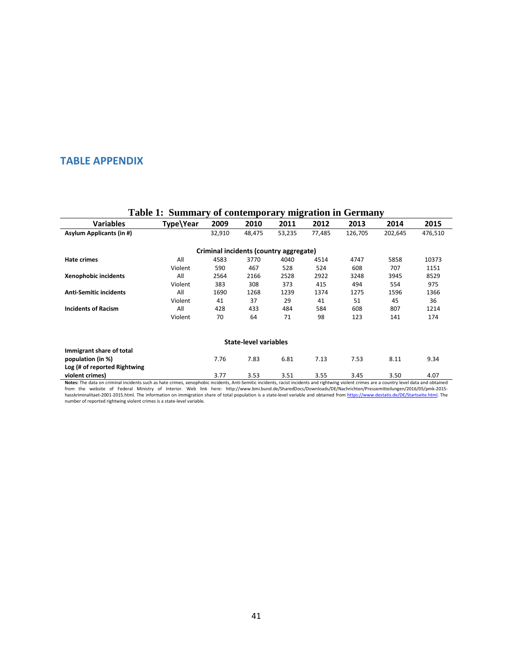## **TABLE APPENDIX**

|                                                   | Table 1. Building y of contemporary migration in Occiniany |        |                              |                                        |        |         |         |         |
|---------------------------------------------------|------------------------------------------------------------|--------|------------------------------|----------------------------------------|--------|---------|---------|---------|
| <b>Variables</b>                                  | Type\Year                                                  | 2009   | 2010                         | 2011                                   | 2012   | 2013    | 2014    | 2015    |
| <b>Asylum Applicants (in #)</b>                   |                                                            | 32,910 | 48,475                       | 53,235                                 | 77,485 | 126,705 | 202,645 | 476,510 |
|                                                   |                                                            |        |                              | Criminal incidents (country aggregate) |        |         |         |         |
| Hate crimes                                       | All                                                        | 4583   | 3770                         | 4040                                   | 4514   | 4747    | 5858    | 10373   |
|                                                   | Violent                                                    | 590    | 467                          | 528                                    | 524    | 608     | 707     | 1151    |
| Xenophobic incidents                              | All                                                        | 2564   | 2166                         | 2528                                   | 2922   | 3248    | 3945    | 8529    |
|                                                   | Violent                                                    | 383    | 308                          | 373                                    | 415    | 494     | 554     | 975     |
| <b>Anti-Semitic incidents</b>                     | All                                                        | 1690   | 1268                         | 1239                                   | 1374   | 1275    | 1596    | 1366    |
|                                                   | Violent                                                    | 41     | 37                           | 29                                     | 41     | 51      | 45      | 36      |
| <b>Incidents of Racism</b>                        | All                                                        | 428    | 433                          | 484                                    | 584    | 608     | 807     | 1214    |
|                                                   | Violent                                                    | 70     | 64                           | 71                                     | 98     | 123     | 141     | 174     |
|                                                   |                                                            |        | <b>State-level variables</b> |                                        |        |         |         |         |
| Immigrant share of total                          |                                                            |        |                              |                                        |        |         |         |         |
| population (in %)<br>Log (# of reported Rightwing |                                                            | 7.76   | 7.83                         | 6.81                                   | 7.13   | 7.53    | 8.11    | 9.34    |
| violent crimes)                                   |                                                            | 3.77   | 3.53                         | 3.51                                   | 3.55   | 3.45    | 3.50    | 4.07    |

## **Table 1: Summary of contemporary migration in Germany**

1.07 violent crimes<br>Notes: The data on criminal incidents such as hate crimes, xenophobic incidents, Anti-Semitic incidents, racist incidents and rightwing violent crimes are a country level data and obtained<br>Trom the webs [hasskriminalitaet-2001-2015.html.](http://www.bmi.bund.de/SharedDocs/Downloads/DE/Nachrichten/Pressemitteilungen/2016/05/pmk-2015-hasskriminalitaet-2001-2015.html) The information on immigration share of total population is a state-level variable and obtained fro[m https://www.destatis.de/DE/Startseite.html.](https://www.destatis.de/DE/Startseite.html) The number of reported rightwing violent crimes is a state-level variable.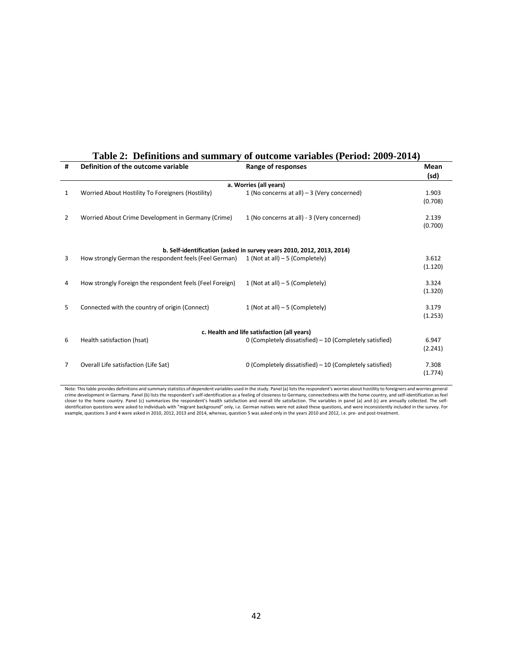| #              | Definition of the outcome variable                                    | Range of responses                                       | Mean<br>(sd)     |  |  |  |  |  |  |
|----------------|-----------------------------------------------------------------------|----------------------------------------------------------|------------------|--|--|--|--|--|--|
|                | a. Worries (all years)                                                |                                                          |                  |  |  |  |  |  |  |
| 1              | Worried About Hostility To Foreigners (Hostility)                     | 1 (No concerns at all) $-3$ (Very concerned)             | 1.903<br>(0.708) |  |  |  |  |  |  |
| $\overline{2}$ | Worried About Crime Development in Germany (Crime)                    | 1 (No concerns at all) - 3 (Very concerned)              | 2.139<br>(0.700) |  |  |  |  |  |  |
|                | b. Self-identification (asked in survey years 2010, 2012, 2013, 2014) |                                                          |                  |  |  |  |  |  |  |
| 3              | How strongly German the respondent feels (Feel German)                | 1 (Not at all) $-5$ (Completely)                         | 3.612<br>(1.120) |  |  |  |  |  |  |
| 4              | How strongly Foreign the respondent feels (Feel Foreign)              | 1 (Not at all) $-5$ (Completely)                         | 3.324<br>(1.320) |  |  |  |  |  |  |
| 5              | Connected with the country of origin (Connect)                        | 1 (Not at all) $-5$ (Completely)                         | 3.179<br>(1.253) |  |  |  |  |  |  |
|                |                                                                       | c. Health and life satisfaction (all years)              |                  |  |  |  |  |  |  |
| 6              | Health satisfaction (hsat)                                            | 0 (Completely dissatisfied) - 10 (Completely satisfied)  | 6.947<br>(2.241) |  |  |  |  |  |  |
| 7              | Overall Life satisfaction (Life Sat)                                  | 0 (Completely dissatisfied) $-10$ (Completely satisfied) | 7.308<br>(1.774) |  |  |  |  |  |  |

# **Table 2: Definitions and summary of outcome variables (Period: 2009-2014)**

Note: This table provides definitions and summary statistics of dependent variables used in the study. Panel (a) lists the respondent's worries about hostility to foreigners and worries general crime development in Germany. Panel (b) lists the respondent's self-identification as a feeling of closeness to Germany, connectedness with the home country, and self-identification as feel<br>closer to the home country. Pane identification questions were asked to individuals with "migrant background" only, i.e. German natives were not asked these questions, and were inconsistently included in the survey. For example, questions 3 and 4 were asked in 2010, 2012, 2013 and 2014, whereas, question 5 was asked only in the years 2010 and 2012, i.e. pre- and post-treatment.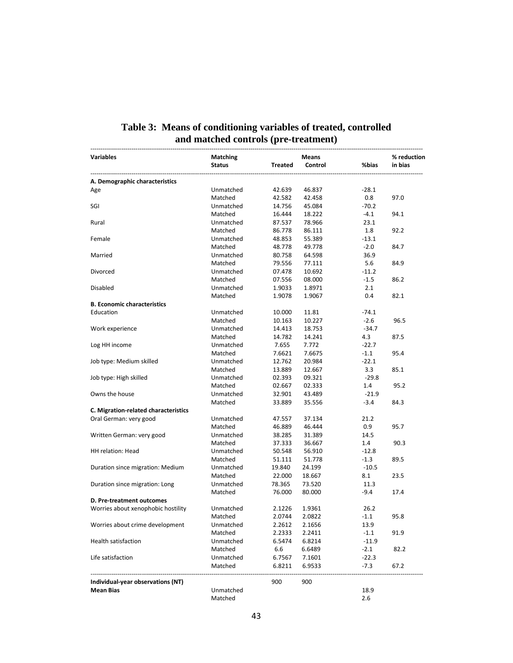| Variables                            | Matching      |         | Means   | % reduction |         |
|--------------------------------------|---------------|---------|---------|-------------|---------|
|                                      | <b>Status</b> | Treated | Control | %bias       | in bias |
| A. Demographic characteristics       |               |         |         |             |         |
| Age                                  | Unmatched     | 42.639  | 46.837  | $-28.1$     |         |
|                                      | Matched       | 42.582  | 42.458  | 0.8         | 97.0    |
| SGI                                  | Unmatched     | 14.756  | 45.084  | $-70.2$     |         |
|                                      | Matched       | 16.444  | 18.222  | $-4.1$      | 94.1    |
| Rural                                | Unmatched     | 87.537  | 78.966  | 23.1        |         |
|                                      | Matched       | 86.778  | 86.111  | 1.8         | 92.2    |
| Female                               | Unmatched     | 48.853  | 55.389  | $-13.1$     |         |
|                                      | Matched       | 48.778  | 49.778  | $-2.0$      | 84.7    |
| Married                              | Unmatched     | 80.758  | 64.598  | 36.9        |         |
|                                      | Matched       | 79.556  | 77.111  | 5.6         | 84.9    |
| Divorced                             | Unmatched     | 07.478  | 10.692  | $-11.2$     |         |
|                                      | Matched       | 07.556  | 08.000  | $-1.5$      | 86.2    |
| Disabled                             | Unmatched     | 1.9033  | 1.8971  | 2.1         |         |
|                                      | Matched       | 1.9078  | 1.9067  | 0.4         | 82.1    |
| <b>B. Economic characteristics</b>   |               |         |         |             |         |
| Education                            | Unmatched     | 10.000  | 11.81   | $-74.1$     |         |
|                                      | Matched       | 10.163  | 10.227  | $-2.6$      | 96.5    |
| Work experience                      | Unmatched     | 14.413  | 18.753  | $-34.7$     |         |
|                                      | Matched       | 14.782  | 14.241  | 4.3         | 87.5    |
| Log HH income                        | Unmatched     | 7.655   | 7.772   | $-22.7$     |         |
|                                      | Matched       | 7.6621  | 7.6675  | $-1.1$      | 95.4    |
| Job type: Medium skilled             | Unmatched     | 12.762  | 20.984  | $-22.1$     |         |
|                                      | Matched       | 13.889  | 12.667  | 3.3         | 85.1    |
| Job type: High skilled               | Unmatched     | 02.393  | 09.321  | $-29.8$     |         |
|                                      | Matched       | 02.667  | 02.333  | 1.4         | 95.2    |
| Owns the house                       | Unmatched     | 32.901  | 43.489  | $-21.9$     |         |
|                                      | Matched       | 33.889  | 35.556  | $-3.4$      | 84.3    |
| C. Migration-related characteristics |               |         |         |             |         |
| Oral German: very good               | Unmatched     | 47.557  | 37.134  | 21.2        |         |
|                                      | Matched       | 46.889  | 46.444  | 0.9         | 95.7    |
| Written German: very good            | Unmatched     | 38.285  | 31.389  | 14.5        |         |
|                                      | Matched       | 37.333  | 36.667  | 1.4         | 90.3    |
| <b>HH</b> relation: Head             | Unmatched     | 50.548  | 56.910  | $-12.8$     |         |
|                                      | Matched       | 51.111  | 51.778  | $-1.3$      | 89.5    |
| Duration since migration: Medium     | Unmatched     | 19.840  | 24.199  | $-10.5$     |         |
|                                      | Matched       | 22.000  | 18.667  | 8.1         | 23.5    |
| Duration since migration: Long       | Unmatched     | 78.365  | 73.520  | 11.3        |         |
|                                      | Matched       | 76.000  | 80.000  | -9.4        | 17.4    |
| D. Pre-treatment outcomes            |               |         |         |             |         |
| Worries about xenophobic hostility   | Unmatched     | 2.1226  | 1.9361  | 26.2        |         |
|                                      | Matched       | 2.0744  | 2.0822  | $-1.1$      | 95.8    |
| Worries about crime development      | Unmatched     | 2.2612  | 2.1656  | 13.9        |         |
|                                      | Matched       | 2.2333  | 2.2411  | $-1.1$      | 91.9    |
| <b>Health satisfaction</b>           | Unmatched     | 6.5474  | 6.8214  | $-11.9$     |         |
|                                      | Matched       | 6.6     | 6.6489  | $-2.1$      | 82.2    |
| Life satisfaction                    | Unmatched     | 6.7567  | 7.1601  | $-22.3$     |         |
|                                      | Matched       | 6.8211  | 6.9533  | $-7.3$      | 67.2    |
| Individual-year observations (NT)    |               | 900     | 900     |             |         |
| <b>Mean Bias</b>                     | Unmatched     |         |         | 18.9        |         |
|                                      | Matched       |         |         | 2.6         |         |

# **Table 3: Means of conditioning variables of treated, controlled and matched controls (pre-treatment)**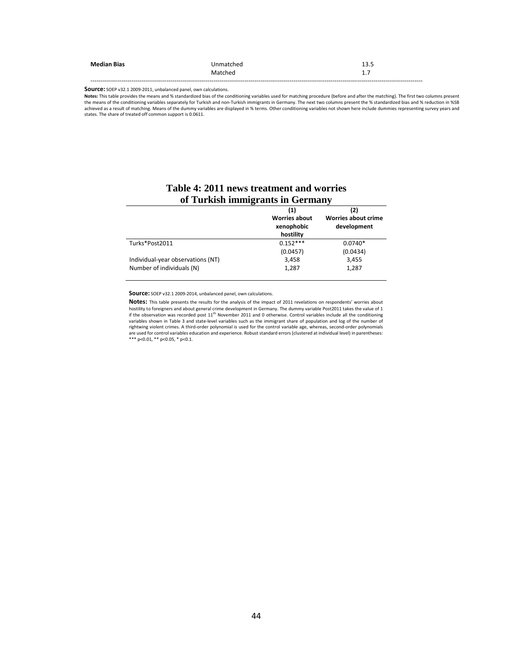| <b>Median Bias</b> | Unmatched | 13.5                                                            |
|--------------------|-----------|-----------------------------------------------------------------|
|                    | Matched   | $\overline{\phantom{a}}$<br>$\overline{\phantom{a}}$<br><b></b> |
|                    |           |                                                                 |

**Source:** SOEP v32.1 2009-2011, unbalanced panel, own calculations.

**Notes:** This table provides the means and % standardized bias of the conditioning variables used for matching procedure (before and after the matching). The first two columns present the means of the conditioning variables separately for Turkish and non-Turkish immigrants in Germany. The next two columns present the % standardized bias and % reduction in %SB<br>achieved as a result of matching. Means of t states. The share of treated off common support is 0.0611.

|                                   | (1)<br><b>Worries about</b><br>xenophobic<br>hostility | (2)<br><b>Worries about crime</b><br>development |
|-----------------------------------|--------------------------------------------------------|--------------------------------------------------|
| Turks*Post2011                    | $0.152***$                                             | $0.0740*$                                        |
|                                   | (0.0457)                                               | (0.0434)                                         |
| Individual-year observations (NT) | 3,458                                                  | 3,455                                            |
| Number of individuals (N)         | 1,287                                                  | 1,287                                            |

## **Table 4: 2011 news treatment and worries of Turkish immigrants in Germany**

**Source:** SOEP v32.1 2009-2014, unbalanced panel, own calculations.

**Notes:** This table presents the results for the analysis of the impact of 2011 revelations on respondents' worries about hostility to foreigners and about general crime development in Germany. The dummy variable Post2011 takes the value of 1 if the observation was recorded post 11<sup>th</sup> November 2011 and 0 otherwise. Control variables include all the conditioning<br>variables shown in Table 3 and state-level variables such as the immigrant share of population and l rightwing violent crimes. A third-order polynomial is used for the control variable age, whereas, second-order polynomials are used for control variables education and experience. Robust standard errors (clustered at individual level) in parentheses: \*\*\* p<0.01, \*\* p<0.05, \* p<0.1.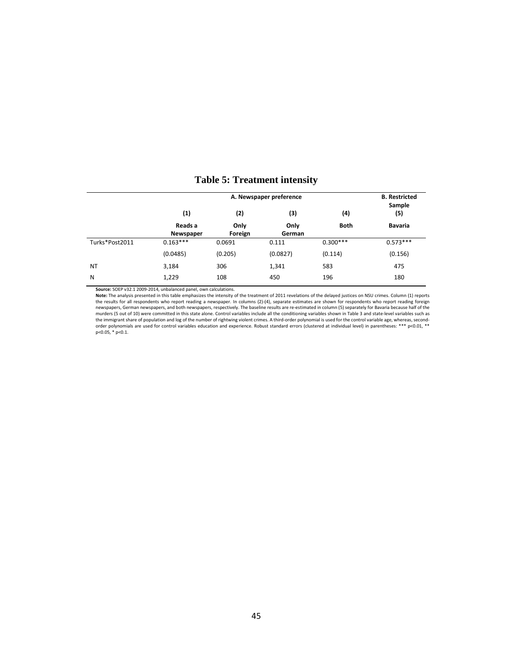|                | A. Newspaper preference |                 |                |             | <b>B.</b> Restricted<br>Sample |
|----------------|-------------------------|-----------------|----------------|-------------|--------------------------------|
|                | (1)                     | (2)             | (3)            | (4)         | (5)                            |
|                | Reads a<br>Newspaper    | Only<br>Foreign | Only<br>German | <b>Both</b> | <b>Bavaria</b>                 |
| Turks*Post2011 | $0.163***$              | 0.0691          | 0.111          | $0.300***$  | $0.573***$                     |
|                | (0.0485)                | (0.205)         | (0.0827)       | (0.114)     | (0.156)                        |
| <b>NT</b>      | 3,184                   | 306             | 1,341          | 583         | 475                            |
| N              | 1,229                   | 108             | 450            | 196         | 180                            |

## **Table 5: Treatment intensity**

**Source:** SOEP v32.1 2009-2014, unbalanced panel, own calculations.

Note: The analysis presented in this table emphasizes the intensity of the treatment of 2011 revelations of the delayed justices on NSU crimes. Column (1) reports<br>the results for all respondents who report reading a newspa the immigrant share of population and log of the number of rightwing violent crimes. A third-order polynomial is used for the control variable age, whereas, second-<br>order polynomials are used for control variables educati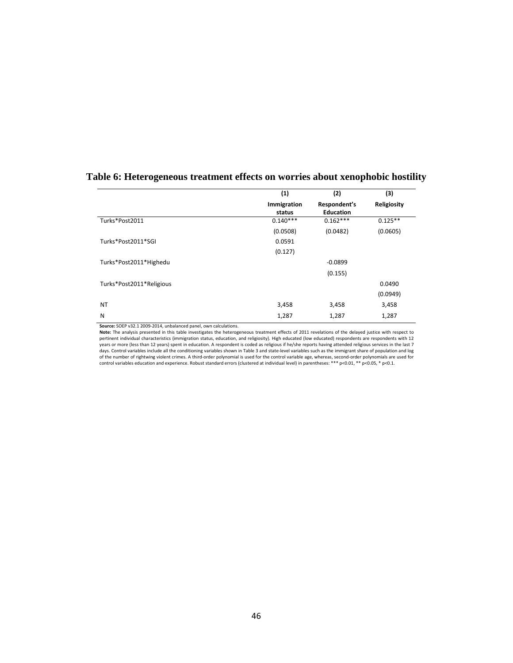|                          | (1)                   | (2)                              | (3)         |
|--------------------------|-----------------------|----------------------------------|-------------|
|                          | Immigration<br>status | Respondent's<br><b>Education</b> | Religiosity |
| Turks*Post2011           | $0.140***$            | $0.162***$                       | $0.125**$   |
|                          | (0.0508)              | (0.0482)                         | (0.0605)    |
| Turks*Post2011*SGI       | 0.0591                |                                  |             |
|                          | (0.127)               |                                  |             |
| Turks*Post2011*Highedu   |                       | $-0.0899$                        |             |
|                          |                       | (0.155)                          |             |
| Turks*Post2011*Religious |                       |                                  | 0.0490      |
|                          |                       |                                  | (0.0949)    |
| <b>NT</b>                | 3,458                 | 3,458                            | 3,458       |
| N                        | 1,287                 | 1,287                            | 1,287       |

# **Table 6: Heterogeneous treatment effects on worries about xenophobic hostility**

**Source:** SOEP v32.1 2009-2014, unbalanced panel, own calculations.

Note: The analysis presented in this table investigates the heterogeneous treatment effects of 2011 revelations of the delayed justice with respect to<br>pertinent individual characteristics (immigration status, education, an years or more (less than 12 years) spent in education. A respondent is coded as religious if he/she reports having attended religious services in the last 7 days. Control variables include all the conditioning variables shown in Table 3 and state-level variables such as the immigrant share of population and log<br>of the number of rightwing violent crimes. A third-order polynomi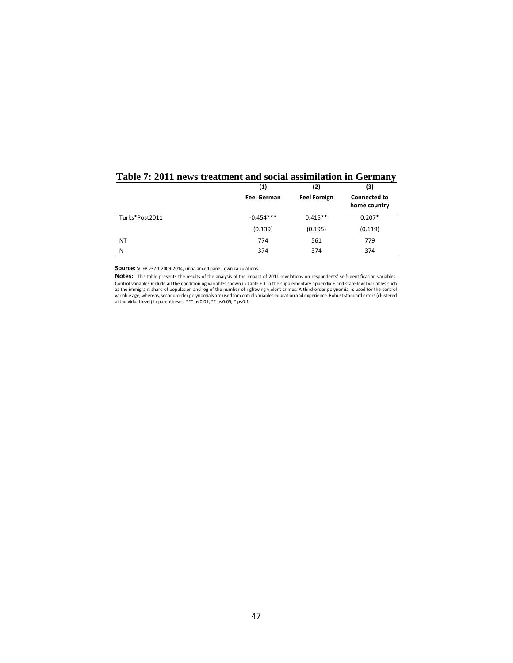|                | (1)                | (2)                 | (3)                                 |
|----------------|--------------------|---------------------|-------------------------------------|
|                | <b>Feel German</b> | <b>Feel Foreign</b> | <b>Connected to</b><br>home country |
| Turks*Post2011 | $-0.454***$        | $0.415**$           | $0.207*$                            |
|                | (0.139)            | (0.195)             | (0.119)                             |
| NT             | 774                | 561                 | 779                                 |
| N              | 374                | 374                 | 374                                 |

# **Table 7: 2011 news treatment and social assimilation in Germany**

**Source:** SOEP v32.1 2009-2014, unbalanced panel, own calculations.

**Notes:** This table presents the results of the analysis of the impact of 2011 revelations on respondents' self-identification variables. Control variables include all the conditioning variables shown in Table E.1 in the supplementary appendix E and state-level variables such as the immigrant share of population and log of the number of rightwing violent crimes. A third-order polynomial is used for the control variable age, whereas, second-order polynomials are used for control variables education and experience. Robust standard errors (clustered<br>at individual level) in parentheses: \*\*\* p<0.01, \*\* p<0.05, \* p<0.1.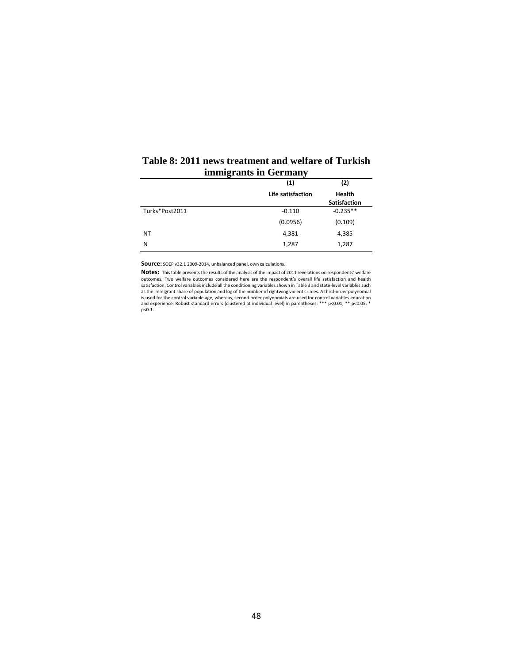|                | ຼ                 |                               |
|----------------|-------------------|-------------------------------|
|                | (1)               | (2)                           |
|                | Life satisfaction | <b>Health</b><br>Satisfaction |
| Turks*Post2011 | $-0.110$          | $-0.235**$                    |
|                | (0.0956)          | (0.109)                       |
| ΝT             | 4,381             | 4,385                         |
| N              | 1,287             | 1,287                         |
|                |                   |                               |

#### **Table 8: 2011 news treatment and welfare of Turkish immigrants in Germany**  $\overline{\phantom{a}}$

**Source:** SOEP v32.1 2009-2014, unbalanced panel, own calculations.

**Notes:** This table presents the results of the analysis of the impact of 2011 revelations on respondents' welfare outcomes. Two welfare outcomes considered here are the respondent's overall life satisfaction and health satisfaction. Control variables include all the conditioning variables shown in Table 3 and state-level variables such as the immigrant share of population and log of the number of rightwing violent crimes. A third-order polynomial is used for the control variable age, whereas, second-order polynomials are used for control variables education<br>and experience. Robust standard errors (clustered at individual level) in parentheses: \*\*\* p<0.01, \*\* p<0.05,  $p < 0.1$ .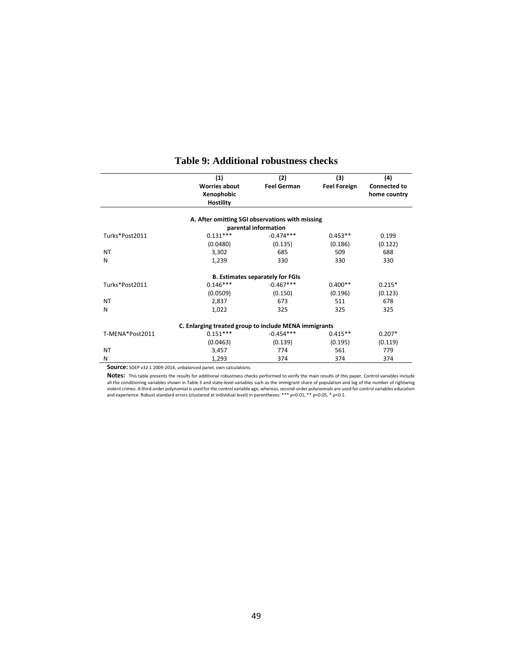|                 | (1)                                                   | (2)                                     | (3)                 | (4)                 |
|-----------------|-------------------------------------------------------|-----------------------------------------|---------------------|---------------------|
|                 | <b>Worries about</b>                                  | <b>Feel German</b>                      | <b>Feel Foreign</b> | <b>Connected to</b> |
|                 | Xenophobic                                            |                                         |                     | home country        |
|                 | <b>Hostility</b>                                      |                                         |                     |                     |
|                 | A. After omitting SGI observations with missing       |                                         |                     |                     |
|                 |                                                       | parental information                    |                     |                     |
| Turks*Post2011  | $0.131***$                                            | $-0.474***$                             | $0.453**$           | 0.199               |
|                 | (0.0480)                                              | (0.135)                                 | (0.186)             | (0.122)             |
| <b>NT</b>       | 3,302                                                 | 685                                     | 509                 | 688                 |
| N               | 1,239                                                 | 330                                     | 330                 | 330                 |
|                 |                                                       | <b>B. Estimates separately for FGIs</b> |                     |                     |
| Turks*Post2011  | $0.146***$                                            | $-0.467***$                             | $0.400**$           | $0.215*$            |
|                 | (0.0509)                                              | (0.150)                                 | (0.196)             | (0.123)             |
| <b>NT</b>       | 2,837                                                 | 673                                     | 511                 | 678                 |
| N               | 1,022                                                 | 325                                     | 325                 | 325                 |
|                 | C. Enlarging treated group to include MENA immigrants |                                         |                     |                     |
| T-MENA*Post2011 | $0.151***$                                            | $-0.454***$                             | $0.415**$           | $0.207*$            |
|                 | (0.0463)                                              | (0.139)                                 | (0.195)             | (0.119)             |
| <b>NT</b>       | 3,457                                                 | 774                                     | 561                 | 779                 |
| N               | 1,293                                                 | 374                                     | 374                 | 374                 |

## **Table 9: Additional robustness checks**

**Source:** SOEP v32.1 2009-2014, unbalanced panel, own calculations.

**Notes:** This table presents the results for additional robustness checks performed to verify the main results of this paper. Control variables include all the conditioning variables shown in Table 3 and state-level variables such as the immigrant share of population and log of the number of rightwing violent crimes. A third-order polynomial is used for the control variable age, whereas, second-order polynomials are used for control variables education<br>and experience. Robust standard errors (clustered at individual leve